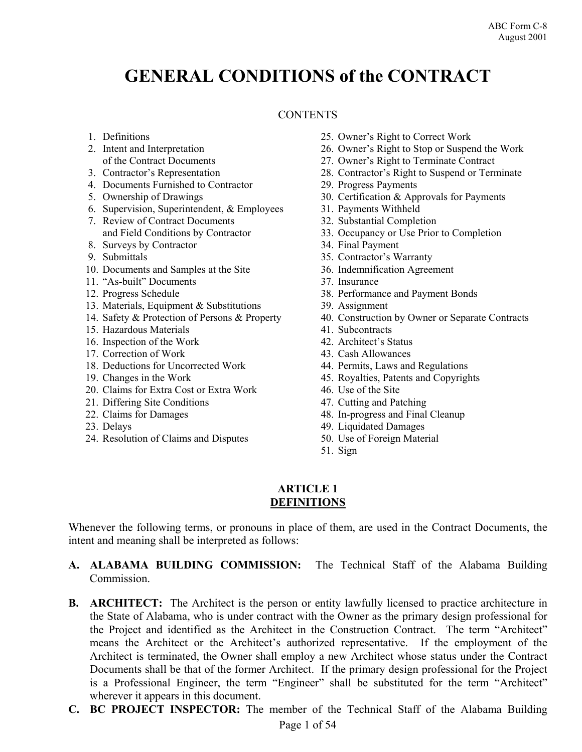# **GENERAL CONDITIONS of the CONTRACT**

# **CONTENTS**

- 1. Definitions
- 2. Intent and Interpretation of the Contract Documents
- 3. Contractor's Representation
- 4. Documents Furnished to Contractor
- 5. Ownership of Drawings
- 6. Supervision, Superintendent, & Employees
- 7. Review of Contract Documents and Field Conditions by Contractor
- 8. Surveys by Contractor
- 9. Submittals
- 10. Documents and Samples at the Site
- 11. "As-built" Documents
- 12. Progress Schedule
- 13. Materials, Equipment & Substitutions
- 14. Safety & Protection of Persons & Property
- 15. Hazardous Materials
- 16. Inspection of the Work
- 17. Correction of Work
- 18. Deductions for Uncorrected Work
- 19. Changes in the Work
- 20. Claims for Extra Cost or Extra Work
- 21. Differing Site Conditions
- 22. Claims for Damages
- 23. Delays
- 24. Resolution of Claims and Disputes
- 25. Owner's Right to Correct Work
- 26. Owner's Right to Stop or Suspend the Work
- 27. Owner's Right to Terminate Contract
- 28. Contractor's Right to Suspend or Terminate
- 29. Progress Payments
- 30. Certification & Approvals for Payments
- 31. Payments Withheld
- 32. Substantial Completion
- 33. Occupancy or Use Prior to Completion
- 34. Final Payment
- 35. Contractor's Warranty
- 36. Indemnification Agreement
- 37. Insurance
- 38. Performance and Payment Bonds
- 39. Assignment
- 40. Construction by Owner or Separate Contracts
- 41. Subcontracts
- 42. Architect's Status
- 43. Cash Allowances
- 44. Permits, Laws and Regulations
- 45. Royalties, Patents and Copyrights
- 46. Use of the Site
- 47. Cutting and Patching
- 48. In-progress and Final Cleanup
- 49. Liquidated Damages
- 50. Use of Foreign Material
- 51. Sign

#### **ARTICLE 1 DEFINITIONS**

Whenever the following terms, or pronouns in place of them, are used in the Contract Documents, the intent and meaning shall be interpreted as follows:

- **A. ALABAMA BUILDING COMMISSION:** The Technical Staff of the Alabama Building Commission.
- **B.** ARCHITECT: The Architect is the person or entity lawfully licensed to practice architecture in the State of Alabama, who is under contract with the Owner as the primary design professional for the Project and identified as the Architect in the Construction Contract. The term "Architect" means the Architect or the Architect's authorized representative. If the employment of the Architect is terminated, the Owner shall employ a new Architect whose status under the Contract Documents shall be that of the former Architect. If the primary design professional for the Project is a Professional Engineer, the term "Engineer" shall be substituted for the term "Architect" wherever it appears in this document.
- **C. BC PROJECT INSPECTOR:** The member of the Technical Staff of the Alabama Building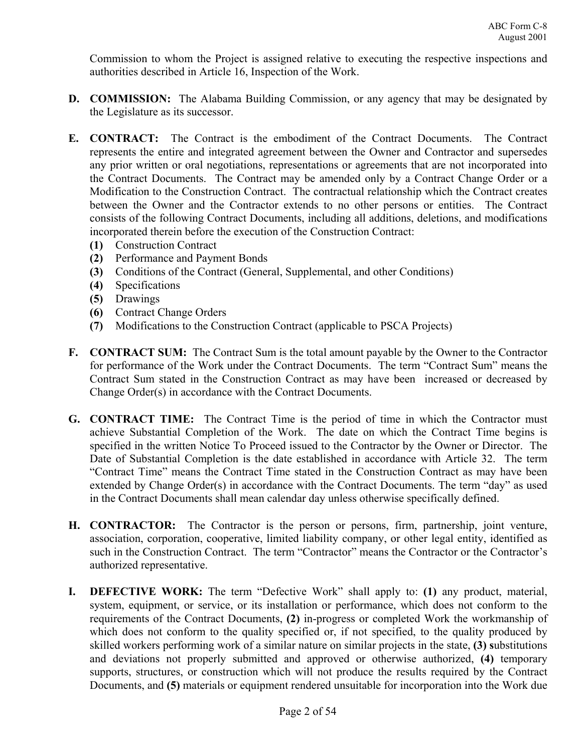Commission to whom the Project is assigned relative to executing the respective inspections and authorities described in Article 16, Inspection of the Work.

- **D. COMMISSION:** The Alabama Building Commission, or any agency that may be designated by the Legislature as its successor.
- **E. CONTRACT:** The Contract is the embodiment of the Contract Documents. The Contract represents the entire and integrated agreement between the Owner and Contractor and supersedes any prior written or oral negotiations, representations or agreements that are not incorporated into the Contract Documents. The Contract may be amended only by a Contract Change Order or a Modification to the Construction Contract. The contractual relationship which the Contract creates between the Owner and the Contractor extends to no other persons or entities. The Contract consists of the following Contract Documents, including all additions, deletions, and modifications incorporated therein before the execution of the Construction Contract:
	- **(1)** Construction Contract
	- **(2)** Performance and Payment Bonds
	- **(3)** Conditions of the Contract (General, Supplemental, and other Conditions)
	- **(4)** Specifications
	- **(5)** Drawings
	- **(6)** Contract Change Orders
	- **(7)** Modifications to the Construction Contract (applicable to PSCA Projects)
- **F. CONTRACT SUM:** The Contract Sum is the total amount payable by the Owner to the Contractor for performance of the Work under the Contract Documents. The term "Contract Sum" means the Contract Sum stated in the Construction Contract as may have been increased or decreased by Change Order(s) in accordance with the Contract Documents.
- **G. CONTRACT TIME:** The Contract Time is the period of time in which the Contractor must achieve Substantial Completion of the Work. The date on which the Contract Time begins is specified in the written Notice To Proceed issued to the Contractor by the Owner or Director. The Date of Substantial Completion is the date established in accordance with Article 32. The term "Contract Time" means the Contract Time stated in the Construction Contract as may have been extended by Change Order(s) in accordance with the Contract Documents. The term "day" as used in the Contract Documents shall mean calendar day unless otherwise specifically defined.
- **H. CONTRACTOR:** The Contractor is the person or persons, firm, partnership, joint venture, association, corporation, cooperative, limited liability company, or other legal entity, identified as such in the Construction Contract. The term "Contractor" means the Contractor or the Contractor's authorized representative.
- **I. DEFECTIVE WORK:** The term "Defective Work" shall apply to: **(1)** any product, material, system, equipment, or service, or its installation or performance, which does not conform to the requirements of the Contract Documents, **(2)** in-progress or completed Work the workmanship of which does not conform to the quality specified or, if not specified, to the quality produced by skilled workers performing work of a similar nature on similar projects in the state, **(3) s**ubstitutions and deviations not properly submitted and approved or otherwise authorized, **(4)** temporary supports, structures, or construction which will not produce the results required by the Contract Documents, and **(5)** materials or equipment rendered unsuitable for incorporation into the Work due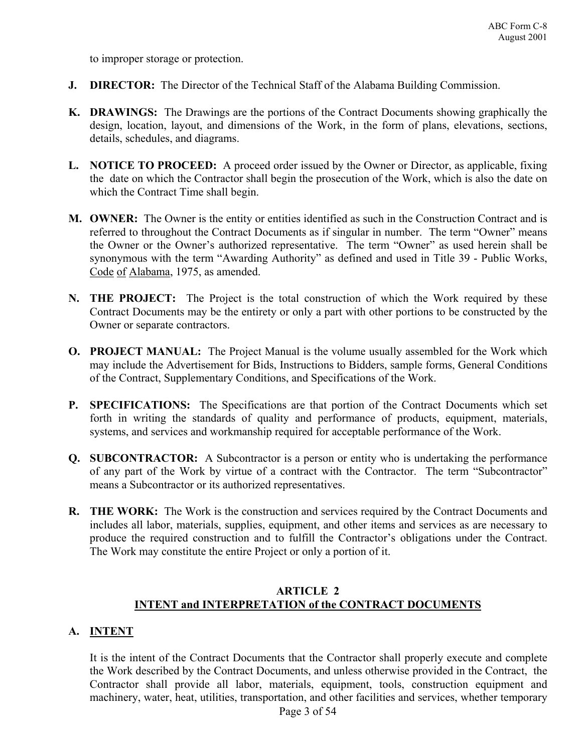to improper storage or protection.

- **J. DIRECTOR:** The Director of the Technical Staff of the Alabama Building Commission.
- **K. DRAWINGS:** The Drawings are the portions of the Contract Documents showing graphically the design, location, layout, and dimensions of the Work, in the form of plans, elevations, sections, details, schedules, and diagrams.
- **L. NOTICE TO PROCEED:** A proceed order issued by the Owner or Director, as applicable, fixing the date on which the Contractor shall begin the prosecution of the Work, which is also the date on which the Contract Time shall begin.
- **M. OWNER:** The Owner is the entity or entities identified as such in the Construction Contract and is referred to throughout the Contract Documents as if singular in number. The term "Owner" means the Owner or the Owner's authorized representative. The term "Owner" as used herein shall be synonymous with the term "Awarding Authority" as defined and used in Title 39 - Public Works, Code of Alabama, 1975, as amended.
- **N. THE PROJECT:** The Project is the total construction of which the Work required by these Contract Documents may be the entirety or only a part with other portions to be constructed by the Owner or separate contractors.
- **O. PROJECT MANUAL:** The Project Manual is the volume usually assembled for the Work which may include the Advertisement for Bids, Instructions to Bidders, sample forms, General Conditions of the Contract, Supplementary Conditions, and Specifications of the Work.
- **P. SPECIFICATIONS:** The Specifications are that portion of the Contract Documents which set forth in writing the standards of quality and performance of products, equipment, materials, systems, and services and workmanship required for acceptable performance of the Work.
- **Q.** SUBCONTRACTOR: A Subcontractor is a person or entity who is undertaking the performance of any part of the Work by virtue of a contract with the Contractor. The term "Subcontractor" means a Subcontractor or its authorized representatives.
- **R. THE WORK:** The Work is the construction and services required by the Contract Documents and includes all labor, materials, supplies, equipment, and other items and services as are necessary to produce the required construction and to fulfill the Contractor's obligations under the Contract. The Work may constitute the entire Project or only a portion of it.

#### **ARTICLE 2 INTENT and INTERPRETATION of the CONTRACT DOCUMENTS**

# **A. INTENT**

It is the intent of the Contract Documents that the Contractor shall properly execute and complete the Work described by the Contract Documents, and unless otherwise provided in the Contract, the Contractor shall provide all labor, materials, equipment, tools, construction equipment and machinery, water, heat, utilities, transportation, and other facilities and services, whether temporary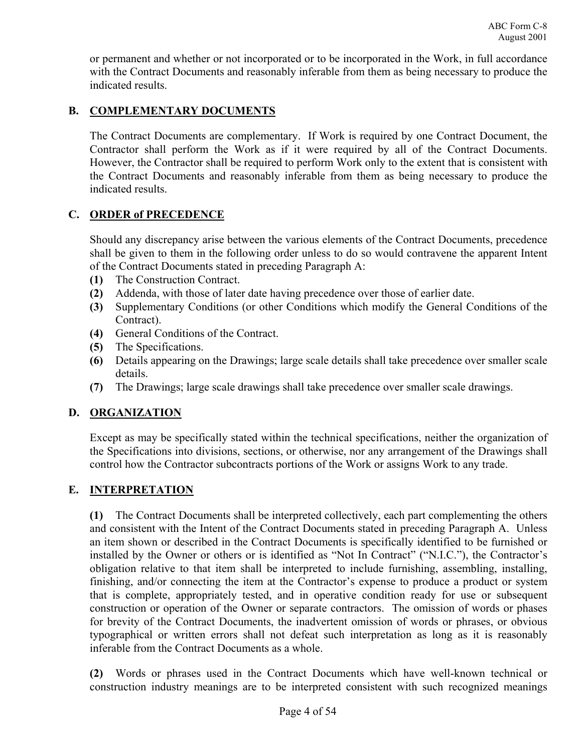or permanent and whether or not incorporated or to be incorporated in the Work, in full accordance with the Contract Documents and reasonably inferable from them as being necessary to produce the indicated results.

# **B. COMPLEMENTARY DOCUMENTS**

The Contract Documents are complementary. If Work is required by one Contract Document, the Contractor shall perform the Work as if it were required by all of the Contract Documents. However, the Contractor shall be required to perform Work only to the extent that is consistent with the Contract Documents and reasonably inferable from them as being necessary to produce the indicated results.

# **C. ORDER of PRECEDENCE**

Should any discrepancy arise between the various elements of the Contract Documents, precedence shall be given to them in the following order unless to do so would contravene the apparent Intent of the Contract Documents stated in preceding Paragraph A:

- **(1)** The Construction Contract.
- **(2)** Addenda, with those of later date having precedence over those of earlier date.
- **(3)** Supplementary Conditions (or other Conditions which modify the General Conditions of the Contract).
- **(4)** General Conditions of the Contract.
- **(5)** The Specifications.
- **(6)** Details appearing on the Drawings; large scale details shall take precedence over smaller scale details.
- **(7)** The Drawings; large scale drawings shall take precedence over smaller scale drawings.

# **D. ORGANIZATION**

Except as may be specifically stated within the technical specifications, neither the organization of the Specifications into divisions, sections, or otherwise, nor any arrangement of the Drawings shall control how the Contractor subcontracts portions of the Work or assigns Work to any trade.

# **E. INTERPRETATION**

**(1)** The Contract Documents shall be interpreted collectively, each part complementing the others and consistent with the Intent of the Contract Documents stated in preceding Paragraph A. Unless an item shown or described in the Contract Documents is specifically identified to be furnished or installed by the Owner or others or is identified as "Not In Contract" ("N.I.C."), the Contractor's obligation relative to that item shall be interpreted to include furnishing, assembling, installing, finishing, and/or connecting the item at the Contractor's expense to produce a product or system that is complete, appropriately tested, and in operative condition ready for use or subsequent construction or operation of the Owner or separate contractors. The omission of words or phases for brevity of the Contract Documents, the inadvertent omission of words or phrases, or obvious typographical or written errors shall not defeat such interpretation as long as it is reasonably inferable from the Contract Documents as a whole.

**(2)** Words or phrases used in the Contract Documents which have well-known technical or construction industry meanings are to be interpreted consistent with such recognized meanings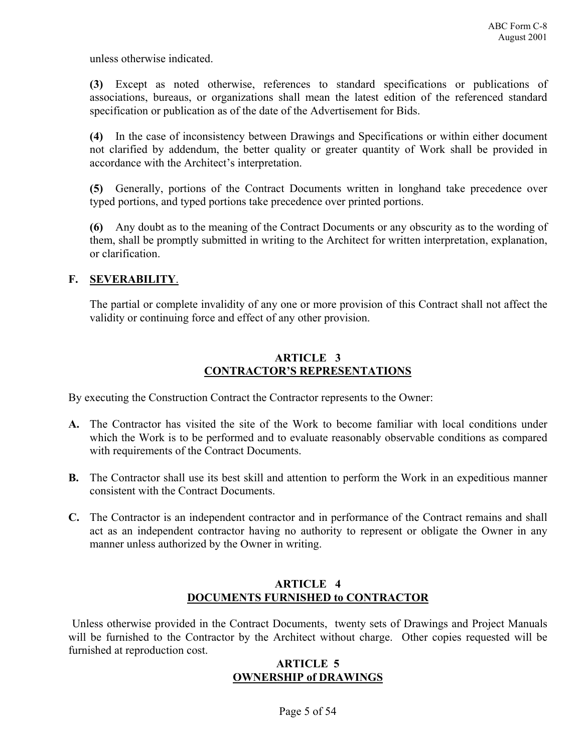unless otherwise indicated.

**(3)** Except as noted otherwise, references to standard specifications or publications of associations, bureaus, or organizations shall mean the latest edition of the referenced standard specification or publication as of the date of the Advertisement for Bids.

**(4)** In the case of inconsistency between Drawings and Specifications or within either document not clarified by addendum, the better quality or greater quantity of Work shall be provided in accordance with the Architect's interpretation.

**(5)** Generally, portions of the Contract Documents written in longhand take precedence over typed portions, and typed portions take precedence over printed portions.

**(6)** Any doubt as to the meaning of the Contract Documents or any obscurity as to the wording of them, shall be promptly submitted in writing to the Architect for written interpretation, explanation, or clarification.

# **F. SEVERABILITY**.

The partial or complete invalidity of any one or more provision of this Contract shall not affect the validity or continuing force and effect of any other provision.

# **ARTICLE 3 CONTRACTOR'S REPRESENTATIONS**

By executing the Construction Contract the Contractor represents to the Owner:

- **A.** The Contractor has visited the site of the Work to become familiar with local conditions under which the Work is to be performed and to evaluate reasonably observable conditions as compared with requirements of the Contract Documents.
- **B.** The Contractor shall use its best skill and attention to perform the Work in an expeditious manner consistent with the Contract Documents.
- **C.** The Contractor is an independent contractor and in performance of the Contract remains and shall act as an independent contractor having no authority to represent or obligate the Owner in any manner unless authorized by the Owner in writing.

# **ARTICLE 4 DOCUMENTS FURNISHED to CONTRACTOR**

 Unless otherwise provided in the Contract Documents, twenty sets of Drawings and Project Manuals will be furnished to the Contractor by the Architect without charge. Other copies requested will be furnished at reproduction cost.

#### **ARTICLE 5 OWNERSHIP of DRAWINGS**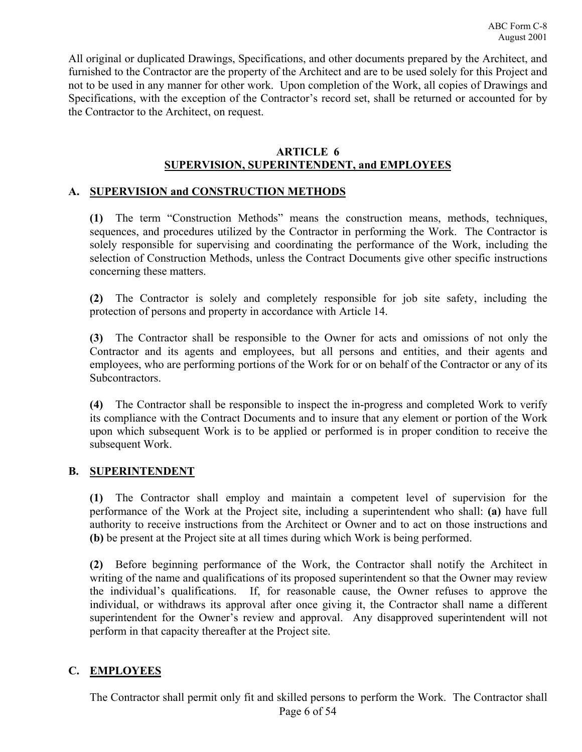All original or duplicated Drawings, Specifications, and other documents prepared by the Architect, and furnished to the Contractor are the property of the Architect and are to be used solely for this Project and not to be used in any manner for other work. Upon completion of the Work, all copies of Drawings and Specifications, with the exception of the Contractor's record set, shall be returned or accounted for by the Contractor to the Architect, on request.

#### **ARTICLE 6 SUPERVISION, SUPERINTENDENT, and EMPLOYEES**

# **A. SUPERVISION and CONSTRUCTION METHODS**

**(1)** The term "Construction Methods" means the construction means, methods, techniques, sequences, and procedures utilized by the Contractor in performing the Work. The Contractor is solely responsible for supervising and coordinating the performance of the Work, including the selection of Construction Methods, unless the Contract Documents give other specific instructions concerning these matters.

**(2)** The Contractor is solely and completely responsible for job site safety, including the protection of persons and property in accordance with Article 14.

**(3)** The Contractor shall be responsible to the Owner for acts and omissions of not only the Contractor and its agents and employees, but all persons and entities, and their agents and employees, who are performing portions of the Work for or on behalf of the Contractor or any of its **Subcontractors** 

**(4)** The Contractor shall be responsible to inspect the in-progress and completed Work to verify its compliance with the Contract Documents and to insure that any element or portion of the Work upon which subsequent Work is to be applied or performed is in proper condition to receive the subsequent Work.

# **B. SUPERINTENDENT**

**(1)** The Contractor shall employ and maintain a competent level of supervision for the performance of the Work at the Project site, including a superintendent who shall: **(a)** have full authority to receive instructions from the Architect or Owner and to act on those instructions and **(b)** be present at the Project site at all times during which Work is being performed.

**(2)** Before beginning performance of the Work, the Contractor shall notify the Architect in writing of the name and qualifications of its proposed superintendent so that the Owner may review the individual's qualifications. If, for reasonable cause, the Owner refuses to approve the individual, or withdraws its approval after once giving it, the Contractor shall name a different superintendent for the Owner's review and approval. Any disapproved superintendent will not perform in that capacity thereafter at the Project site.

# **C. EMPLOYEES**

Page 6 of 54 The Contractor shall permit only fit and skilled persons to perform the Work. The Contractor shall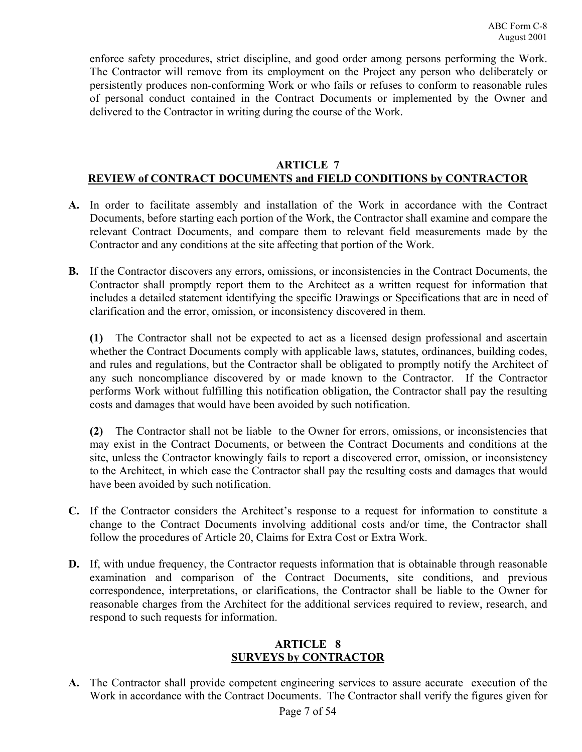enforce safety procedures, strict discipline, and good order among persons performing the Work. The Contractor will remove from its employment on the Project any person who deliberately or persistently produces non-conforming Work or who fails or refuses to conform to reasonable rules of personal conduct contained in the Contract Documents or implemented by the Owner and delivered to the Contractor in writing during the course of the Work.

# **ARTICLE 7 REVIEW of CONTRACT DOCUMENTS and FIELD CONDITIONS by CONTRACTOR**

- **A.** In order to facilitate assembly and installation of the Work in accordance with the Contract Documents, before starting each portion of the Work, the Contractor shall examine and compare the relevant Contract Documents, and compare them to relevant field measurements made by the Contractor and any conditions at the site affecting that portion of the Work.
- **B.** If the Contractor discovers any errors, omissions, or inconsistencies in the Contract Documents, the Contractor shall promptly report them to the Architect as a written request for information that includes a detailed statement identifying the specific Drawings or Specifications that are in need of clarification and the error, omission, or inconsistency discovered in them.

**(1)** The Contractor shall not be expected to act as a licensed design professional and ascertain whether the Contract Documents comply with applicable laws, statutes, ordinances, building codes, and rules and regulations, but the Contractor shall be obligated to promptly notify the Architect of any such noncompliance discovered by or made known to the Contractor. If the Contractor performs Work without fulfilling this notification obligation, the Contractor shall pay the resulting costs and damages that would have been avoided by such notification.

**(2)** The Contractor shall not be liable to the Owner for errors, omissions, or inconsistencies that may exist in the Contract Documents, or between the Contract Documents and conditions at the site, unless the Contractor knowingly fails to report a discovered error, omission, or inconsistency to the Architect, in which case the Contractor shall pay the resulting costs and damages that would have been avoided by such notification.

- **C.** If the Contractor considers the Architect's response to a request for information to constitute a change to the Contract Documents involving additional costs and/or time, the Contractor shall follow the procedures of Article 20, Claims for Extra Cost or Extra Work.
- **D.** If, with undue frequency, the Contractor requests information that is obtainable through reasonable examination and comparison of the Contract Documents, site conditions, and previous correspondence, interpretations, or clarifications, the Contractor shall be liable to the Owner for reasonable charges from the Architect for the additional services required to review, research, and respond to such requests for information.

#### **ARTICLE 8 SURVEYS by CONTRACTOR**

**A.** The Contractor shall provide competent engineering services to assure accurate execution of the Work in accordance with the Contract Documents. The Contractor shall verify the figures given for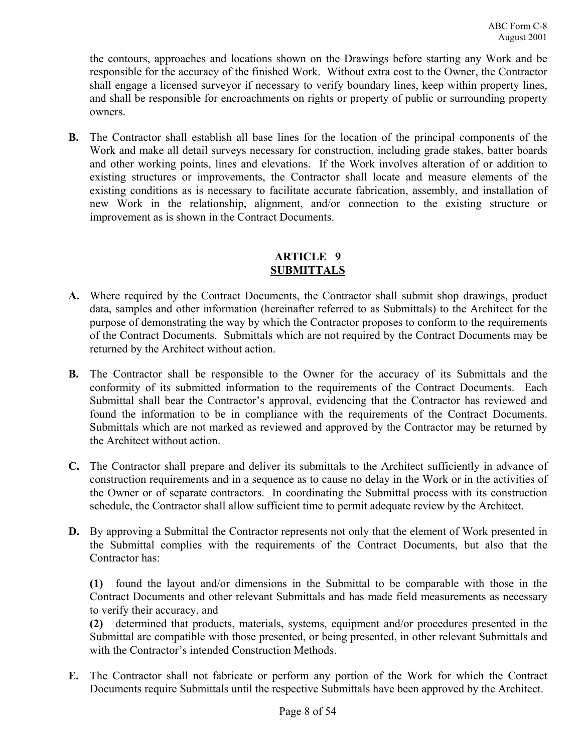the contours, approaches and locations shown on the Drawings before starting any Work and be responsible for the accuracy of the finished Work. Without extra cost to the Owner, the Contractor shall engage a licensed surveyor if necessary to verify boundary lines, keep within property lines, and shall be responsible for encroachments on rights or property of public or surrounding property owners.

**B.** The Contractor shall establish all base lines for the location of the principal components of the Work and make all detail surveys necessary for construction, including grade stakes, batter boards and other working points, lines and elevations. If the Work involves alteration of or addition to existing structures or improvements, the Contractor shall locate and measure elements of the existing conditions as is necessary to facilitate accurate fabrication, assembly, and installation of new Work in the relationship, alignment, and/or connection to the existing structure or improvement as is shown in the Contract Documents.

# **ARTICLE 9 SUBMITTALS**

- **A.** Where required by the Contract Documents, the Contractor shall submit shop drawings, product data, samples and other information (hereinafter referred to as Submittals) to the Architect for the purpose of demonstrating the way by which the Contractor proposes to conform to the requirements of the Contract Documents. Submittals which are not required by the Contract Documents may be returned by the Architect without action.
- **B.** The Contractor shall be responsible to the Owner for the accuracy of its Submittals and the conformity of its submitted information to the requirements of the Contract Documents. Each Submittal shall bear the Contractor's approval, evidencing that the Contractor has reviewed and found the information to be in compliance with the requirements of the Contract Documents. Submittals which are not marked as reviewed and approved by the Contractor may be returned by the Architect without action.
- **C.** The Contractor shall prepare and deliver its submittals to the Architect sufficiently in advance of construction requirements and in a sequence as to cause no delay in the Work or in the activities of the Owner or of separate contractors. In coordinating the Submittal process with its construction schedule, the Contractor shall allow sufficient time to permit adequate review by the Architect.
- **D.** By approving a Submittal the Contractor represents not only that the element of Work presented in the Submittal complies with the requirements of the Contract Documents, but also that the Contractor has:

**(1)** found the layout and/or dimensions in the Submittal to be comparable with those in the Contract Documents and other relevant Submittals and has made field measurements as necessary to verify their accuracy, and

**(2)** determined that products, materials, systems, equipment and/or procedures presented in the Submittal are compatible with those presented, or being presented, in other relevant Submittals and with the Contractor's intended Construction Methods.

**E.** The Contractor shall not fabricate or perform any portion of the Work for which the Contract Documents require Submittals until the respective Submittals have been approved by the Architect.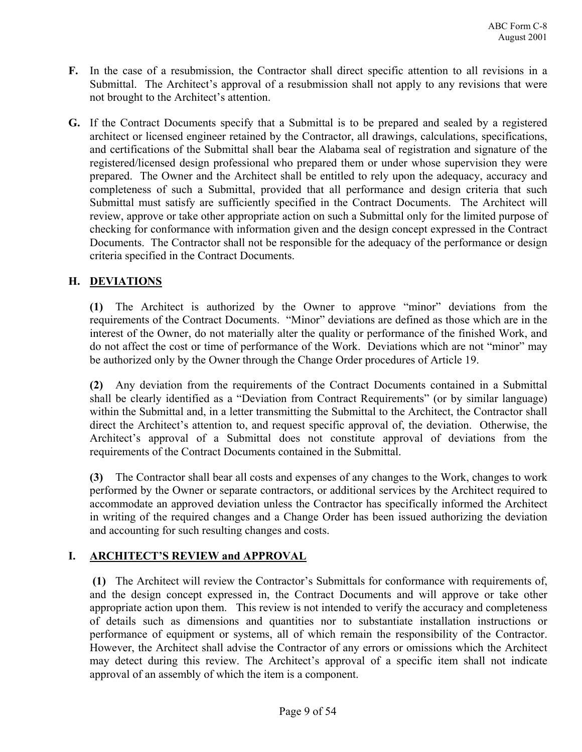- **F.** In the case of a resubmission, the Contractor shall direct specific attention to all revisions in a Submittal. The Architect's approval of a resubmission shall not apply to any revisions that were not brought to the Architect's attention.
- **G.** If the Contract Documents specify that a Submittal is to be prepared and sealed by a registered architect or licensed engineer retained by the Contractor, all drawings, calculations, specifications, and certifications of the Submittal shall bear the Alabama seal of registration and signature of the registered/licensed design professional who prepared them or under whose supervision they were prepared. The Owner and the Architect shall be entitled to rely upon the adequacy, accuracy and completeness of such a Submittal, provided that all performance and design criteria that such Submittal must satisfy are sufficiently specified in the Contract Documents. The Architect will review, approve or take other appropriate action on such a Submittal only for the limited purpose of checking for conformance with information given and the design concept expressed in the Contract Documents. The Contractor shall not be responsible for the adequacy of the performance or design criteria specified in the Contract Documents.

# **H. DEVIATIONS**

**(1)** The Architect is authorized by the Owner to approve "minor" deviations from the requirements of the Contract Documents. "Minor" deviations are defined as those which are in the interest of the Owner, do not materially alter the quality or performance of the finished Work, and do not affect the cost or time of performance of the Work. Deviations which are not "minor" may be authorized only by the Owner through the Change Order procedures of Article 19.

**(2)** Any deviation from the requirements of the Contract Documents contained in a Submittal shall be clearly identified as a "Deviation from Contract Requirements" (or by similar language) within the Submittal and, in a letter transmitting the Submittal to the Architect, the Contractor shall direct the Architect's attention to, and request specific approval of, the deviation. Otherwise, the Architect's approval of a Submittal does not constitute approval of deviations from the requirements of the Contract Documents contained in the Submittal.

**(3)** The Contractor shall bear all costs and expenses of any changes to the Work, changes to work performed by the Owner or separate contractors, or additional services by the Architect required to accommodate an approved deviation unless the Contractor has specifically informed the Architect in writing of the required changes and a Change Order has been issued authorizing the deviation and accounting for such resulting changes and costs.

# **I. ARCHITECT'S REVIEW and APPROVAL**

 **(1)** The Architect will review the Contractor's Submittals for conformance with requirements of, and the design concept expressed in, the Contract Documents and will approve or take other appropriate action upon them. This review is not intended to verify the accuracy and completeness of details such as dimensions and quantities nor to substantiate installation instructions or performance of equipment or systems, all of which remain the responsibility of the Contractor. However, the Architect shall advise the Contractor of any errors or omissions which the Architect may detect during this review. The Architect's approval of a specific item shall not indicate approval of an assembly of which the item is a component.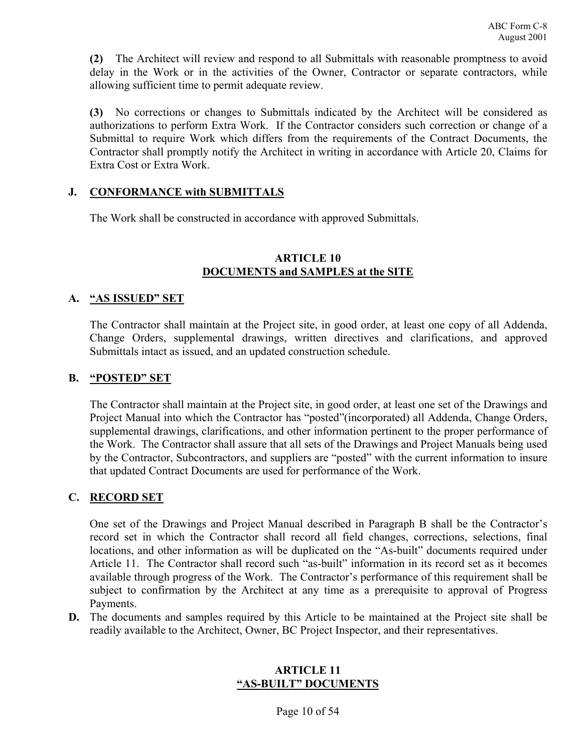**(2)** The Architect will review and respond to all Submittals with reasonable promptness to avoid delay in the Work or in the activities of the Owner, Contractor or separate contractors, while allowing sufficient time to permit adequate review.

**(3)** No corrections or changes to Submittals indicated by the Architect will be considered as authorizations to perform Extra Work. If the Contractor considers such correction or change of a Submittal to require Work which differs from the requirements of the Contract Documents, the Contractor shall promptly notify the Architect in writing in accordance with Article 20, Claims for Extra Cost or Extra Work.

#### **J. CONFORMANCE with SUBMITTALS**

The Work shall be constructed in accordance with approved Submittals.

#### **ARTICLE 10 DOCUMENTS and SAMPLES at the SITE**

#### **A. "AS ISSUED" SET**

The Contractor shall maintain at the Project site, in good order, at least one copy of all Addenda, Change Orders, supplemental drawings, written directives and clarifications, and approved Submittals intact as issued, and an updated construction schedule.

#### **B. "POSTED" SET**

The Contractor shall maintain at the Project site, in good order, at least one set of the Drawings and Project Manual into which the Contractor has "posted"(incorporated) all Addenda, Change Orders, supplemental drawings, clarifications, and other information pertinent to the proper performance of the Work. The Contractor shall assure that all sets of the Drawings and Project Manuals being used by the Contractor, Subcontractors, and suppliers are "posted" with the current information to insure that updated Contract Documents are used for performance of the Work.

# **C. RECORD SET**

One set of the Drawings and Project Manual described in Paragraph B shall be the Contractor's record set in which the Contractor shall record all field changes, corrections, selections, final locations, and other information as will be duplicated on the "As-built" documents required under Article 11. The Contractor shall record such "as-built" information in its record set as it becomes available through progress of the Work. The Contractor's performance of this requirement shall be subject to confirmation by the Architect at any time as a prerequisite to approval of Progress Payments.

**D.** The documents and samples required by this Article to be maintained at the Project site shall be readily available to the Architect, Owner, BC Project Inspector, and their representatives.

# **ARTICLE 11 "AS-BUILT" DOCUMENTS**

Page 10 of 54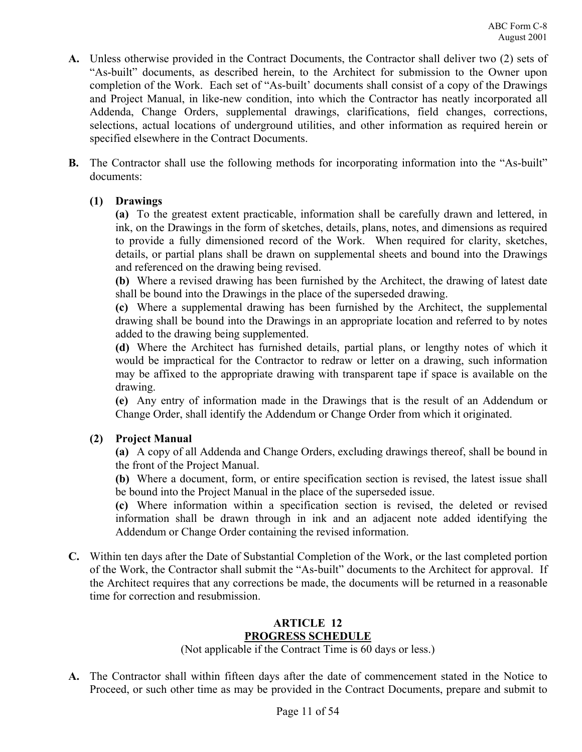- **A.** Unless otherwise provided in the Contract Documents, the Contractor shall deliver two (2) sets of "As-built" documents, as described herein, to the Architect for submission to the Owner upon completion of the Work. Each set of "As-built' documents shall consist of a copy of the Drawings and Project Manual, in like-new condition, into which the Contractor has neatly incorporated all Addenda, Change Orders, supplemental drawings, clarifications, field changes, corrections, selections, actual locations of underground utilities, and other information as required herein or specified elsewhere in the Contract Documents.
- **B.** The Contractor shall use the following methods for incorporating information into the "As-built" documents:

# **(1) Drawings**

**(a)** To the greatest extent practicable, information shall be carefully drawn and lettered, in ink, on the Drawings in the form of sketches, details, plans, notes, and dimensions as required to provide a fully dimensioned record of the Work. When required for clarity, sketches, details, or partial plans shall be drawn on supplemental sheets and bound into the Drawings and referenced on the drawing being revised.

**(b)** Where a revised drawing has been furnished by the Architect, the drawing of latest date shall be bound into the Drawings in the place of the superseded drawing.

**(c)** Where a supplemental drawing has been furnished by the Architect, the supplemental drawing shall be bound into the Drawings in an appropriate location and referred to by notes added to the drawing being supplemented.

**(d)** Where the Architect has furnished details, partial plans, or lengthy notes of which it would be impractical for the Contractor to redraw or letter on a drawing, such information may be affixed to the appropriate drawing with transparent tape if space is available on the drawing.

**(e)** Any entry of information made in the Drawings that is the result of an Addendum or Change Order, shall identify the Addendum or Change Order from which it originated.

# **(2) Project Manual**

**(a)** A copy of all Addenda and Change Orders, excluding drawings thereof, shall be bound in the front of the Project Manual.

**(b)** Where a document, form, or entire specification section is revised, the latest issue shall be bound into the Project Manual in the place of the superseded issue.

**(c)** Where information within a specification section is revised, the deleted or revised information shall be drawn through in ink and an adjacent note added identifying the Addendum or Change Order containing the revised information.

**C.** Within ten days after the Date of Substantial Completion of the Work, or the last completed portion of the Work, the Contractor shall submit the "As-built" documents to the Architect for approval. If the Architect requires that any corrections be made, the documents will be returned in a reasonable time for correction and resubmission.

# **ARTICLE 12 PROGRESS SCHEDULE**

(Not applicable if the Contract Time is 60 days or less.)

**A.** The Contractor shall within fifteen days after the date of commencement stated in the Notice to Proceed, or such other time as may be provided in the Contract Documents, prepare and submit to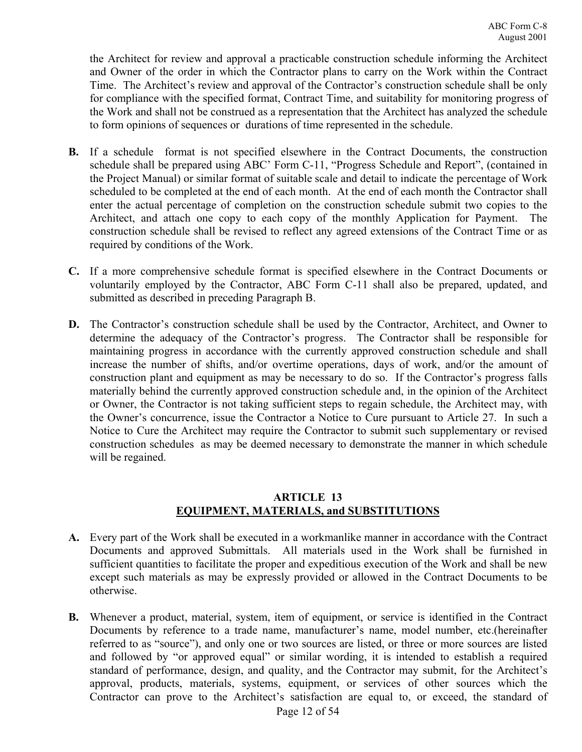the Architect for review and approval a practicable construction schedule informing the Architect and Owner of the order in which the Contractor plans to carry on the Work within the Contract Time. The Architect's review and approval of the Contractor's construction schedule shall be only for compliance with the specified format, Contract Time, and suitability for monitoring progress of the Work and shall not be construed as a representation that the Architect has analyzed the schedule to form opinions of sequences or durations of time represented in the schedule.

- **B.** If a schedule format is not specified elsewhere in the Contract Documents, the construction schedule shall be prepared using ABC' Form C-11, "Progress Schedule and Report", (contained in the Project Manual) or similar format of suitable scale and detail to indicate the percentage of Work scheduled to be completed at the end of each month. At the end of each month the Contractor shall enter the actual percentage of completion on the construction schedule submit two copies to the Architect, and attach one copy to each copy of the monthly Application for Payment. The construction schedule shall be revised to reflect any agreed extensions of the Contract Time or as required by conditions of the Work.
- **C.** If a more comprehensive schedule format is specified elsewhere in the Contract Documents or voluntarily employed by the Contractor, ABC Form C-11 shall also be prepared, updated, and submitted as described in preceding Paragraph B.
- **D.** The Contractor's construction schedule shall be used by the Contractor, Architect, and Owner to determine the adequacy of the Contractor's progress. The Contractor shall be responsible for maintaining progress in accordance with the currently approved construction schedule and shall increase the number of shifts, and/or overtime operations, days of work, and/or the amount of construction plant and equipment as may be necessary to do so. If the Contractor's progress falls materially behind the currently approved construction schedule and, in the opinion of the Architect or Owner, the Contractor is not taking sufficient steps to regain schedule, the Architect may, with the Owner's concurrence, issue the Contractor a Notice to Cure pursuant to Article 27. In such a Notice to Cure the Architect may require the Contractor to submit such supplementary or revised construction schedules as may be deemed necessary to demonstrate the manner in which schedule will be regained.

# **ARTICLE 13 EQUIPMENT, MATERIALS, and SUBSTITUTIONS**

- **A.** Every part of the Work shall be executed in a workmanlike manner in accordance with the Contract Documents and approved Submittals. All materials used in the Work shall be furnished in sufficient quantities to facilitate the proper and expeditious execution of the Work and shall be new except such materials as may be expressly provided or allowed in the Contract Documents to be otherwise.
- **B.** Whenever a product, material, system, item of equipment, or service is identified in the Contract Documents by reference to a trade name, manufacturer's name, model number, etc.(hereinafter referred to as "source"), and only one or two sources are listed, or three or more sources are listed and followed by "or approved equal" or similar wording, it is intended to establish a required standard of performance, design, and quality, and the Contractor may submit, for the Architect's approval, products, materials, systems, equipment, or services of other sources which the Contractor can prove to the Architect's satisfaction are equal to, or exceed, the standard of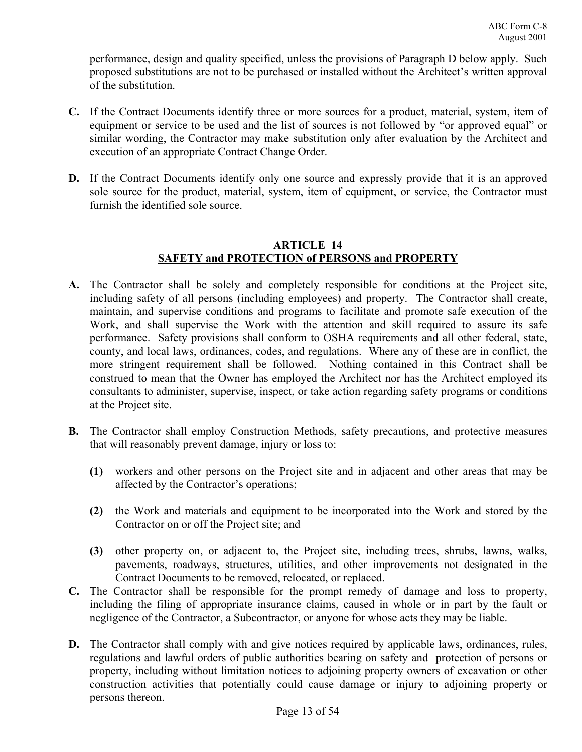performance, design and quality specified, unless the provisions of Paragraph D below apply. Such proposed substitutions are not to be purchased or installed without the Architect's written approval of the substitution.

- **C.** If the Contract Documents identify three or more sources for a product, material, system, item of equipment or service to be used and the list of sources is not followed by "or approved equal" or similar wording, the Contractor may make substitution only after evaluation by the Architect and execution of an appropriate Contract Change Order.
- **D.** If the Contract Documents identify only one source and expressly provide that it is an approved sole source for the product, material, system, item of equipment, or service, the Contractor must furnish the identified sole source.

# **ARTICLE 14 SAFETY and PROTECTION of PERSONS and PROPERTY**

- **A.** The Contractor shall be solely and completely responsible for conditions at the Project site, including safety of all persons (including employees) and property. The Contractor shall create, maintain, and supervise conditions and programs to facilitate and promote safe execution of the Work, and shall supervise the Work with the attention and skill required to assure its safe performance. Safety provisions shall conform to OSHA requirements and all other federal, state, county, and local laws, ordinances, codes, and regulations. Where any of these are in conflict, the more stringent requirement shall be followed. Nothing contained in this Contract shall be construed to mean that the Owner has employed the Architect nor has the Architect employed its consultants to administer, supervise, inspect, or take action regarding safety programs or conditions at the Project site.
- **B.** The Contractor shall employ Construction Methods, safety precautions, and protective measures that will reasonably prevent damage, injury or loss to:
	- **(1)** workers and other persons on the Project site and in adjacent and other areas that may be affected by the Contractor's operations;
	- **(2)** the Work and materials and equipment to be incorporated into the Work and stored by the Contractor on or off the Project site; and
	- **(3)** other property on, or adjacent to, the Project site, including trees, shrubs, lawns, walks, pavements, roadways, structures, utilities, and other improvements not designated in the Contract Documents to be removed, relocated, or replaced.
- **C.** The Contractor shall be responsible for the prompt remedy of damage and loss to property, including the filing of appropriate insurance claims, caused in whole or in part by the fault or negligence of the Contractor, a Subcontractor, or anyone for whose acts they may be liable.
- **D.** The Contractor shall comply with and give notices required by applicable laws, ordinances, rules, regulations and lawful orders of public authorities bearing on safety and protection of persons or property, including without limitation notices to adjoining property owners of excavation or other construction activities that potentially could cause damage or injury to adjoining property or persons thereon.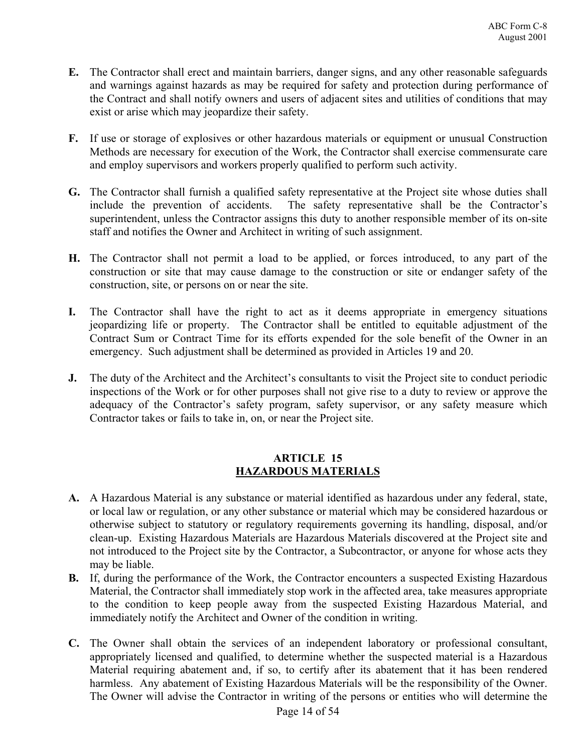- **E.** The Contractor shall erect and maintain barriers, danger signs, and any other reasonable safeguards and warnings against hazards as may be required for safety and protection during performance of the Contract and shall notify owners and users of adjacent sites and utilities of conditions that may exist or arise which may jeopardize their safety.
- **F.** If use or storage of explosives or other hazardous materials or equipment or unusual Construction Methods are necessary for execution of the Work, the Contractor shall exercise commensurate care and employ supervisors and workers properly qualified to perform such activity.
- **G.** The Contractor shall furnish a qualified safety representative at the Project site whose duties shall include the prevention of accidents. The safety representative shall be the Contractor's superintendent, unless the Contractor assigns this duty to another responsible member of its on-site staff and notifies the Owner and Architect in writing of such assignment.
- **H.** The Contractor shall not permit a load to be applied, or forces introduced, to any part of the construction or site that may cause damage to the construction or site or endanger safety of the construction, site, or persons on or near the site.
- **I.** The Contractor shall have the right to act as it deems appropriate in emergency situations jeopardizing life or property. The Contractor shall be entitled to equitable adjustment of the Contract Sum or Contract Time for its efforts expended for the sole benefit of the Owner in an emergency. Such adjustment shall be determined as provided in Articles 19 and 20.
- **J.** The duty of the Architect and the Architect's consultants to visit the Project site to conduct periodic inspections of the Work or for other purposes shall not give rise to a duty to review or approve the adequacy of the Contractor's safety program, safety supervisor, or any safety measure which Contractor takes or fails to take in, on, or near the Project site.

# **ARTICLE 15 HAZARDOUS MATERIALS**

- **A.** A Hazardous Material is any substance or material identified as hazardous under any federal, state, or local law or regulation, or any other substance or material which may be considered hazardous or otherwise subject to statutory or regulatory requirements governing its handling, disposal, and/or clean-up. Existing Hazardous Materials are Hazardous Materials discovered at the Project site and not introduced to the Project site by the Contractor, a Subcontractor, or anyone for whose acts they may be liable.
- **B.** If, during the performance of the Work, the Contractor encounters a suspected Existing Hazardous Material, the Contractor shall immediately stop work in the affected area, take measures appropriate to the condition to keep people away from the suspected Existing Hazardous Material, and immediately notify the Architect and Owner of the condition in writing.
- **C.** The Owner shall obtain the services of an independent laboratory or professional consultant, appropriately licensed and qualified, to determine whether the suspected material is a Hazardous Material requiring abatement and, if so, to certify after its abatement that it has been rendered harmless. Any abatement of Existing Hazardous Materials will be the responsibility of the Owner. The Owner will advise the Contractor in writing of the persons or entities who will determine the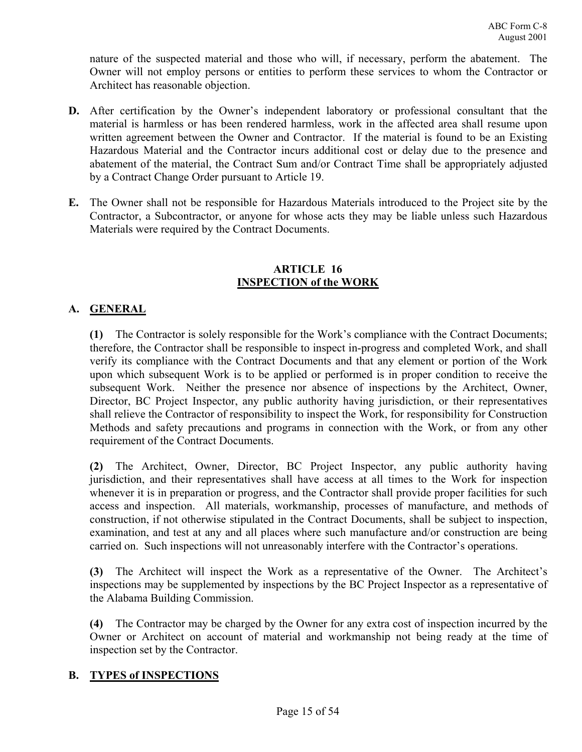nature of the suspected material and those who will, if necessary, perform the abatement. The Owner will not employ persons or entities to perform these services to whom the Contractor or Architect has reasonable objection.

- **D.** After certification by the Owner's independent laboratory or professional consultant that the material is harmless or has been rendered harmless, work in the affected area shall resume upon written agreement between the Owner and Contractor. If the material is found to be an Existing Hazardous Material and the Contractor incurs additional cost or delay due to the presence and abatement of the material, the Contract Sum and/or Contract Time shall be appropriately adjusted by a Contract Change Order pursuant to Article 19.
- **E.** The Owner shall not be responsible for Hazardous Materials introduced to the Project site by the Contractor, a Subcontractor, or anyone for whose acts they may be liable unless such Hazardous Materials were required by the Contract Documents.

### **ARTICLE 16 INSPECTION of the WORK**

# **A. GENERAL**

**(1)** The Contractor is solely responsible for the Work's compliance with the Contract Documents; therefore, the Contractor shall be responsible to inspect in-progress and completed Work, and shall verify its compliance with the Contract Documents and that any element or portion of the Work upon which subsequent Work is to be applied or performed is in proper condition to receive the subsequent Work. Neither the presence nor absence of inspections by the Architect, Owner, Director, BC Project Inspector, any public authority having jurisdiction, or their representatives shall relieve the Contractor of responsibility to inspect the Work, for responsibility for Construction Methods and safety precautions and programs in connection with the Work, or from any other requirement of the Contract Documents.

**(2)** The Architect, Owner, Director, BC Project Inspector, any public authority having jurisdiction, and their representatives shall have access at all times to the Work for inspection whenever it is in preparation or progress, and the Contractor shall provide proper facilities for such access and inspection. All materials, workmanship, processes of manufacture, and methods of construction, if not otherwise stipulated in the Contract Documents, shall be subject to inspection, examination, and test at any and all places where such manufacture and/or construction are being carried on. Such inspections will not unreasonably interfere with the Contractor's operations.

**(3)** The Architect will inspect the Work as a representative of the Owner. The Architect's inspections may be supplemented by inspections by the BC Project Inspector as a representative of the Alabama Building Commission.

**(4)** The Contractor may be charged by the Owner for any extra cost of inspection incurred by the Owner or Architect on account of material and workmanship not being ready at the time of inspection set by the Contractor.

# **B. TYPES of INSPECTIONS**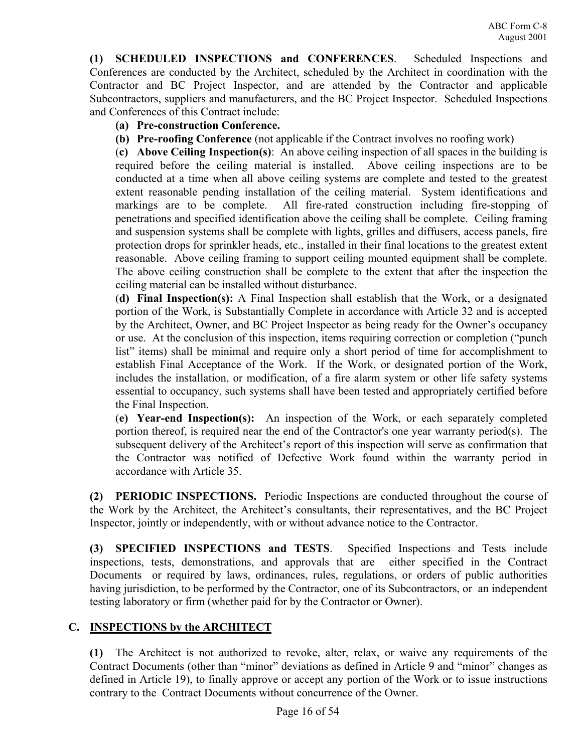**(1) SCHEDULED INSPECTIONS and CONFERENCES**. Scheduled Inspections and Conferences are conducted by the Architect, scheduled by the Architect in coordination with the Contractor and BC Project Inspector, and are attended by the Contractor and applicable Subcontractors, suppliers and manufacturers, and the BC Project Inspector. Scheduled Inspections and Conferences of this Contract include:

# **(a) Pre-construction Conference.**

**(b) Pre-roofing Conference** (not applicable if the Contract involves no roofing work)

(**c) Above Ceiling Inspection(s)**: An above ceiling inspection of all spaces in the building is required before the ceiling material is installed. Above ceiling inspections are to be conducted at a time when all above ceiling systems are complete and tested to the greatest extent reasonable pending installation of the ceiling material. System identifications and markings are to be complete. All fire-rated construction including fire-stopping of penetrations and specified identification above the ceiling shall be complete. Ceiling framing and suspension systems shall be complete with lights, grilles and diffusers, access panels, fire protection drops for sprinkler heads, etc., installed in their final locations to the greatest extent reasonable. Above ceiling framing to support ceiling mounted equipment shall be complete. The above ceiling construction shall be complete to the extent that after the inspection the ceiling material can be installed without disturbance.

(**d) Final Inspection(s):** A Final Inspection shall establish that the Work, or a designated portion of the Work, is Substantially Complete in accordance with Article 32 and is accepted by the Architect, Owner, and BC Project Inspector as being ready for the Owner's occupancy or use. At the conclusion of this inspection, items requiring correction or completion ("punch list" items) shall be minimal and require only a short period of time for accomplishment to establish Final Acceptance of the Work. If the Work, or designated portion of the Work, includes the installation, or modification, of a fire alarm system or other life safety systems essential to occupancy, such systems shall have been tested and appropriately certified before the Final Inspection.

(**e) Year-end Inspection(s):** An inspection of the Work, or each separately completed portion thereof, is required near the end of the Contractor's one year warranty period(s). The subsequent delivery of the Architect's report of this inspection will serve as confirmation that the Contractor was notified of Defective Work found within the warranty period in accordance with Article 35.

**(2) PERIODIC INSPECTIONS.** Periodic Inspections are conducted throughout the course of the Work by the Architect, the Architect's consultants, their representatives, and the BC Project Inspector, jointly or independently, with or without advance notice to the Contractor.

**(3) SPECIFIED INSPECTIONS and TESTS**. Specified Inspections and Tests include inspections, tests, demonstrations, and approvals that are either specified in the Contract Documents or required by laws, ordinances, rules, regulations, or orders of public authorities having jurisdiction, to be performed by the Contractor, one of its Subcontractors, or an independent testing laboratory or firm (whether paid for by the Contractor or Owner).

# **C. INSPECTIONS by the ARCHITECT**

**(1)** The Architect is not authorized to revoke, alter, relax, or waive any requirements of the Contract Documents (other than "minor" deviations as defined in Article 9 and "minor" changes as defined in Article 19), to finally approve or accept any portion of the Work or to issue instructions contrary to the Contract Documents without concurrence of the Owner.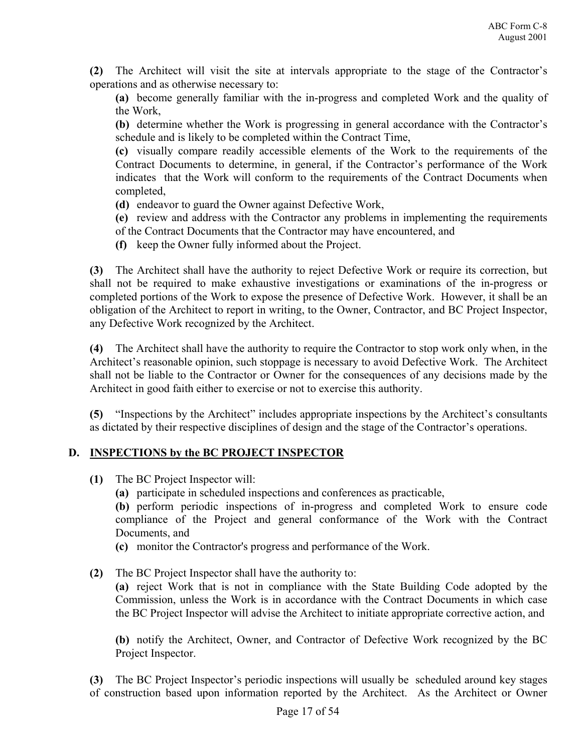**(2)** The Architect will visit the site at intervals appropriate to the stage of the Contractor's operations and as otherwise necessary to:

**(a)** become generally familiar with the in-progress and completed Work and the quality of the Work,

**(b)** determine whether the Work is progressing in general accordance with the Contractor's schedule and is likely to be completed within the Contract Time,

**(c)** visually compare readily accessible elements of the Work to the requirements of the Contract Documents to determine, in general, if the Contractor's performance of the Work indicates that the Work will conform to the requirements of the Contract Documents when completed,

**(d)** endeavor to guard the Owner against Defective Work,

**(e)** review and address with the Contractor any problems in implementing the requirements of the Contract Documents that the Contractor may have encountered, and

**(f)** keep the Owner fully informed about the Project.

**(3)** The Architect shall have the authority to reject Defective Work or require its correction, but shall not be required to make exhaustive investigations or examinations of the in-progress or completed portions of the Work to expose the presence of Defective Work. However, it shall be an obligation of the Architect to report in writing, to the Owner, Contractor, and BC Project Inspector, any Defective Work recognized by the Architect.

**(4)** The Architect shall have the authority to require the Contractor to stop work only when, in the Architect's reasonable opinion, such stoppage is necessary to avoid Defective Work. The Architect shall not be liable to the Contractor or Owner for the consequences of any decisions made by the Architect in good faith either to exercise or not to exercise this authority.

**(5)** "Inspections by the Architect" includes appropriate inspections by the Architect's consultants as dictated by their respective disciplines of design and the stage of the Contractor's operations.

# **D. INSPECTIONS by the BC PROJECT INSPECTOR**

- **(1)** The BC Project Inspector will:
	- **(a)** participate in scheduled inspections and conferences as practicable,

**(b)** perform periodic inspections of in-progress and completed Work to ensure code compliance of the Project and general conformance of the Work with the Contract Documents, and

- **(c)** monitor the Contractor's progress and performance of the Work.
- **(2)** The BC Project Inspector shall have the authority to:

**(a)** reject Work that is not in compliance with the State Building Code adopted by the Commission, unless the Work is in accordance with the Contract Documents in which case the BC Project Inspector will advise the Architect to initiate appropriate corrective action, and

**(b)** notify the Architect, Owner, and Contractor of Defective Work recognized by the BC Project Inspector.

**(3)** The BC Project Inspector's periodic inspections will usually be scheduled around key stages of construction based upon information reported by the Architect. As the Architect or Owner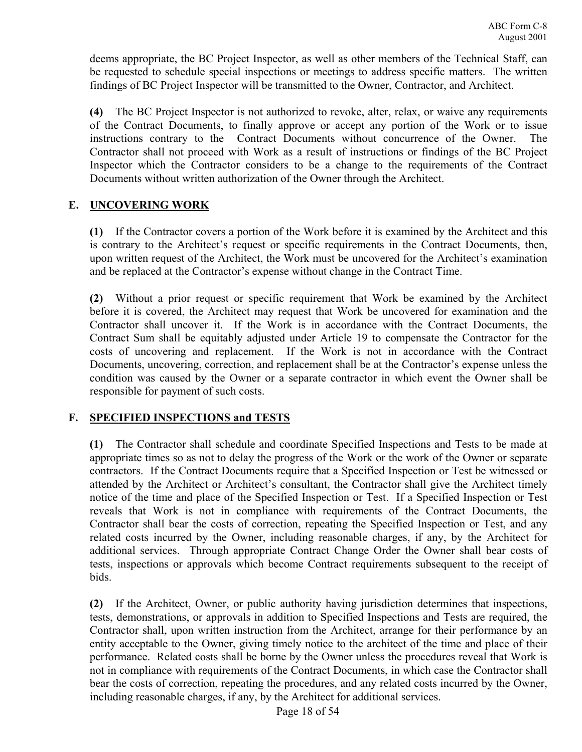deems appropriate, the BC Project Inspector, as well as other members of the Technical Staff, can be requested to schedule special inspections or meetings to address specific matters. The written findings of BC Project Inspector will be transmitted to the Owner, Contractor, and Architect.

**(4)** The BC Project Inspector is not authorized to revoke, alter, relax, or waive any requirements of the Contract Documents, to finally approve or accept any portion of the Work or to issue instructions contrary to the Contract Documents without concurrence of the Owner. The Contractor shall not proceed with Work as a result of instructions or findings of the BC Project Inspector which the Contractor considers to be a change to the requirements of the Contract Documents without written authorization of the Owner through the Architect.

# **E. UNCOVERING WORK**

**(1)** If the Contractor covers a portion of the Work before it is examined by the Architect and this is contrary to the Architect's request or specific requirements in the Contract Documents, then, upon written request of the Architect, the Work must be uncovered for the Architect's examination and be replaced at the Contractor's expense without change in the Contract Time.

**(2)** Without a prior request or specific requirement that Work be examined by the Architect before it is covered, the Architect may request that Work be uncovered for examination and the Contractor shall uncover it. If the Work is in accordance with the Contract Documents, the Contract Sum shall be equitably adjusted under Article 19 to compensate the Contractor for the costs of uncovering and replacement. If the Work is not in accordance with the Contract Documents, uncovering, correction, and replacement shall be at the Contractor's expense unless the condition was caused by the Owner or a separate contractor in which event the Owner shall be responsible for payment of such costs.

# **F. SPECIFIED INSPECTIONS and TESTS**

**(1)** The Contractor shall schedule and coordinate Specified Inspections and Tests to be made at appropriate times so as not to delay the progress of the Work or the work of the Owner or separate contractors. If the Contract Documents require that a Specified Inspection or Test be witnessed or attended by the Architect or Architect's consultant, the Contractor shall give the Architect timely notice of the time and place of the Specified Inspection or Test. If a Specified Inspection or Test reveals that Work is not in compliance with requirements of the Contract Documents, the Contractor shall bear the costs of correction, repeating the Specified Inspection or Test, and any related costs incurred by the Owner, including reasonable charges, if any, by the Architect for additional services. Through appropriate Contract Change Order the Owner shall bear costs of tests, inspections or approvals which become Contract requirements subsequent to the receipt of bids.

**(2)** If the Architect, Owner, or public authority having jurisdiction determines that inspections, tests, demonstrations, or approvals in addition to Specified Inspections and Tests are required, the Contractor shall, upon written instruction from the Architect, arrange for their performance by an entity acceptable to the Owner, giving timely notice to the architect of the time and place of their performance. Related costs shall be borne by the Owner unless the procedures reveal that Work is not in compliance with requirements of the Contract Documents, in which case the Contractor shall bear the costs of correction, repeating the procedures, and any related costs incurred by the Owner, including reasonable charges, if any, by the Architect for additional services.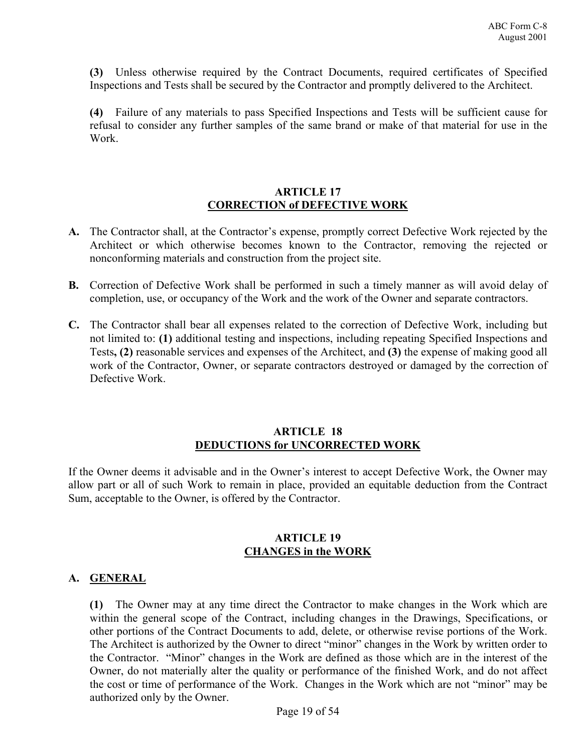**(3)** Unless otherwise required by the Contract Documents, required certificates of Specified Inspections and Tests shall be secured by the Contractor and promptly delivered to the Architect.

**(4)** Failure of any materials to pass Specified Inspections and Tests will be sufficient cause for refusal to consider any further samples of the same brand or make of that material for use in the Work.

#### **ARTICLE 17 CORRECTION of DEFECTIVE WORK**

- **A.** The Contractor shall, at the Contractor's expense, promptly correct Defective Work rejected by the Architect or which otherwise becomes known to the Contractor, removing the rejected or nonconforming materials and construction from the project site.
- **B.** Correction of Defective Work shall be performed in such a timely manner as will avoid delay of completion, use, or occupancy of the Work and the work of the Owner and separate contractors.
- **C.** The Contractor shall bear all expenses related to the correction of Defective Work, including but not limited to: **(1)** additional testing and inspections, including repeating Specified Inspections and Tests**, (2)** reasonable services and expenses of the Architect, and **(3)** the expense of making good all work of the Contractor, Owner, or separate contractors destroyed or damaged by the correction of Defective Work.

#### **ARTICLE 18 DEDUCTIONS for UNCORRECTED WORK**

If the Owner deems it advisable and in the Owner's interest to accept Defective Work, the Owner may allow part or all of such Work to remain in place, provided an equitable deduction from the Contract Sum, acceptable to the Owner, is offered by the Contractor.

#### **ARTICLE 19 CHANGES in the WORK**

#### **A. GENERAL**

**(1)** The Owner may at any time direct the Contractor to make changes in the Work which are within the general scope of the Contract, including changes in the Drawings, Specifications, or other portions of the Contract Documents to add, delete, or otherwise revise portions of the Work. The Architect is authorized by the Owner to direct "minor" changes in the Work by written order to the Contractor. "Minor" changes in the Work are defined as those which are in the interest of the Owner, do not materially alter the quality or performance of the finished Work, and do not affect the cost or time of performance of the Work. Changes in the Work which are not "minor" may be authorized only by the Owner.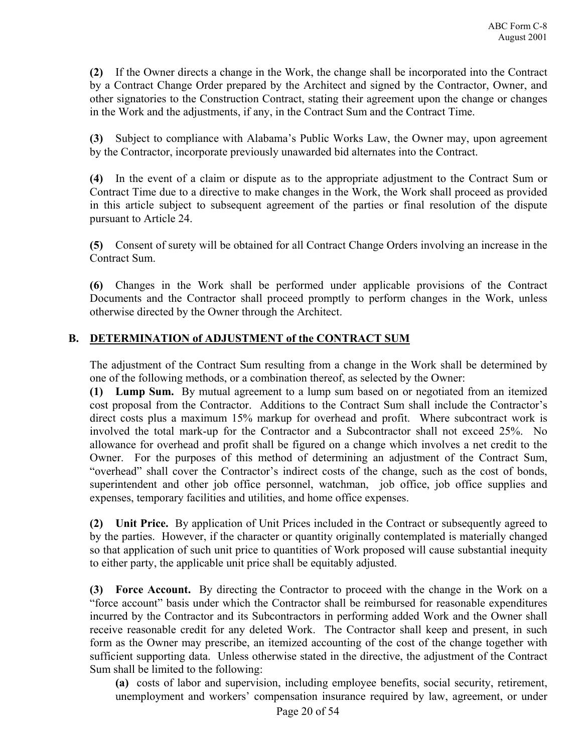**(2)** If the Owner directs a change in the Work, the change shall be incorporated into the Contract by a Contract Change Order prepared by the Architect and signed by the Contractor, Owner, and other signatories to the Construction Contract, stating their agreement upon the change or changes in the Work and the adjustments, if any, in the Contract Sum and the Contract Time.

**(3)** Subject to compliance with Alabama's Public Works Law, the Owner may, upon agreement by the Contractor, incorporate previously unawarded bid alternates into the Contract.

**(4)** In the event of a claim or dispute as to the appropriate adjustment to the Contract Sum or Contract Time due to a directive to make changes in the Work, the Work shall proceed as provided in this article subject to subsequent agreement of the parties or final resolution of the dispute pursuant to Article 24.

**(5)** Consent of surety will be obtained for all Contract Change Orders involving an increase in the Contract Sum.

**(6)** Changes in the Work shall be performed under applicable provisions of the Contract Documents and the Contractor shall proceed promptly to perform changes in the Work, unless otherwise directed by the Owner through the Architect.

# **B. DETERMINATION of ADJUSTMENT of the CONTRACT SUM**

The adjustment of the Contract Sum resulting from a change in the Work shall be determined by one of the following methods, or a combination thereof, as selected by the Owner:

**(1) Lump Sum.** By mutual agreement to a lump sum based on or negotiated from an itemized cost proposal from the Contractor. Additions to the Contract Sum shall include the Contractor's direct costs plus a maximum 15% markup for overhead and profit. Where subcontract work is involved the total mark-up for the Contractor and a Subcontractor shall not exceed 25%. No allowance for overhead and profit shall be figured on a change which involves a net credit to the Owner. For the purposes of this method of determining an adjustment of the Contract Sum, "overhead" shall cover the Contractor's indirect costs of the change, such as the cost of bonds, superintendent and other job office personnel, watchman, job office, job office supplies and expenses, temporary facilities and utilities, and home office expenses.

**(2) Unit Price.** By application of Unit Prices included in the Contract or subsequently agreed to by the parties. However, if the character or quantity originally contemplated is materially changed so that application of such unit price to quantities of Work proposed will cause substantial inequity to either party, the applicable unit price shall be equitably adjusted.

**(3) Force Account.** By directing the Contractor to proceed with the change in the Work on a "force account" basis under which the Contractor shall be reimbursed for reasonable expenditures incurred by the Contractor and its Subcontractors in performing added Work and the Owner shall receive reasonable credit for any deleted Work. The Contractor shall keep and present, in such form as the Owner may prescribe, an itemized accounting of the cost of the change together with sufficient supporting data. Unless otherwise stated in the directive, the adjustment of the Contract Sum shall be limited to the following:

**(a)** costs of labor and supervision, including employee benefits, social security, retirement, unemployment and workers' compensation insurance required by law, agreement, or under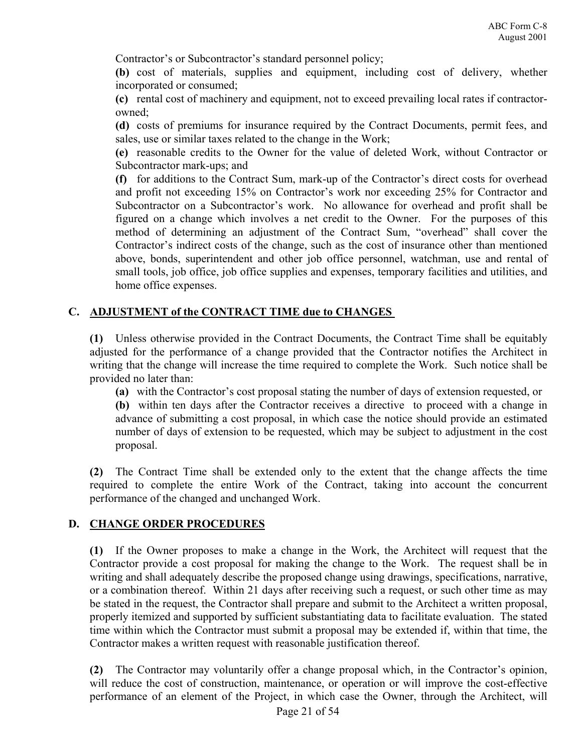Contractor's or Subcontractor's standard personnel policy;

**(b)** cost of materials, supplies and equipment, including cost of delivery, whether incorporated or consumed;

**(c)** rental cost of machinery and equipment, not to exceed prevailing local rates if contractorowned;

**(d)** costs of premiums for insurance required by the Contract Documents, permit fees, and sales, use or similar taxes related to the change in the Work;

**(e)** reasonable credits to the Owner for the value of deleted Work, without Contractor or Subcontractor mark-ups; and

**(f)** for additions to the Contract Sum, mark-up of the Contractor's direct costs for overhead and profit not exceeding 15% on Contractor's work nor exceeding 25% for Contractor and Subcontractor on a Subcontractor's work. No allowance for overhead and profit shall be figured on a change which involves a net credit to the Owner. For the purposes of this method of determining an adjustment of the Contract Sum, "overhead" shall cover the Contractor's indirect costs of the change, such as the cost of insurance other than mentioned above, bonds, superintendent and other job office personnel, watchman, use and rental of small tools, job office, job office supplies and expenses, temporary facilities and utilities, and home office expenses.

# **C. ADJUSTMENT of the CONTRACT TIME due to CHANGES**

**(1)** Unless otherwise provided in the Contract Documents, the Contract Time shall be equitably adjusted for the performance of a change provided that the Contractor notifies the Architect in writing that the change will increase the time required to complete the Work. Such notice shall be provided no later than:

**(a)** with the Contractor's cost proposal stating the number of days of extension requested, or

**(b)** within ten days after the Contractor receives a directive to proceed with a change in advance of submitting a cost proposal, in which case the notice should provide an estimated number of days of extension to be requested, which may be subject to adjustment in the cost proposal.

**(2)** The Contract Time shall be extended only to the extent that the change affects the time required to complete the entire Work of the Contract, taking into account the concurrent performance of the changed and unchanged Work.

# **D. CHANGE ORDER PROCEDURES**

**(1)** If the Owner proposes to make a change in the Work, the Architect will request that the Contractor provide a cost proposal for making the change to the Work. The request shall be in writing and shall adequately describe the proposed change using drawings, specifications, narrative, or a combination thereof. Within 21 days after receiving such a request, or such other time as may be stated in the request, the Contractor shall prepare and submit to the Architect a written proposal, properly itemized and supported by sufficient substantiating data to facilitate evaluation. The stated time within which the Contractor must submit a proposal may be extended if, within that time, the Contractor makes a written request with reasonable justification thereof.

**(2)** The Contractor may voluntarily offer a change proposal which, in the Contractor's opinion, will reduce the cost of construction, maintenance, or operation or will improve the cost-effective performance of an element of the Project, in which case the Owner, through the Architect, will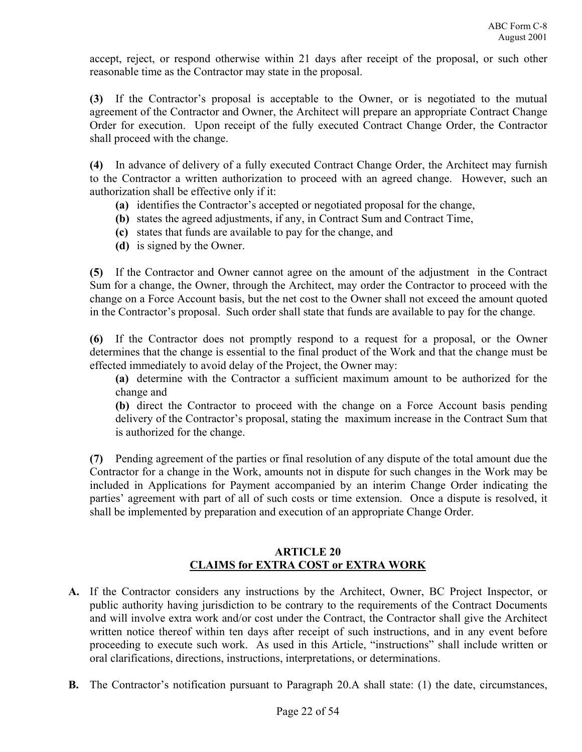accept, reject, or respond otherwise within 21 days after receipt of the proposal, or such other reasonable time as the Contractor may state in the proposal.

**(3)** If the Contractor's proposal is acceptable to the Owner, or is negotiated to the mutual agreement of the Contractor and Owner, the Architect will prepare an appropriate Contract Change Order for execution. Upon receipt of the fully executed Contract Change Order, the Contractor shall proceed with the change.

**(4)** In advance of delivery of a fully executed Contract Change Order, the Architect may furnish to the Contractor a written authorization to proceed with an agreed change. However, such an authorization shall be effective only if it:

- **(a)** identifies the Contractor's accepted or negotiated proposal for the change,
- **(b)** states the agreed adjustments, if any, in Contract Sum and Contract Time,
- **(c)** states that funds are available to pay for the change, and
- **(d)** is signed by the Owner.

**(5)** If the Contractor and Owner cannot agree on the amount of the adjustment in the Contract Sum for a change, the Owner, through the Architect, may order the Contractor to proceed with the change on a Force Account basis, but the net cost to the Owner shall not exceed the amount quoted in the Contractor's proposal. Such order shall state that funds are available to pay for the change.

**(6)** If the Contractor does not promptly respond to a request for a proposal, or the Owner determines that the change is essential to the final product of the Work and that the change must be effected immediately to avoid delay of the Project, the Owner may:

**(a)** determine with the Contractor a sufficient maximum amount to be authorized for the change and

**(b)** direct the Contractor to proceed with the change on a Force Account basis pending delivery of the Contractor's proposal, stating the maximum increase in the Contract Sum that is authorized for the change.

**(7)** Pending agreement of the parties or final resolution of any dispute of the total amount due the Contractor for a change in the Work, amounts not in dispute for such changes in the Work may be included in Applications for Payment accompanied by an interim Change Order indicating the parties' agreement with part of all of such costs or time extension. Once a dispute is resolved, it shall be implemented by preparation and execution of an appropriate Change Order.

# **ARTICLE 20 CLAIMS for EXTRA COST or EXTRA WORK**

- **A.** If the Contractor considers any instructions by the Architect, Owner, BC Project Inspector, or public authority having jurisdiction to be contrary to the requirements of the Contract Documents and will involve extra work and/or cost under the Contract, the Contractor shall give the Architect written notice thereof within ten days after receipt of such instructions, and in any event before proceeding to execute such work. As used in this Article, "instructions" shall include written or oral clarifications, directions, instructions, interpretations, or determinations.
- **B.** The Contractor's notification pursuant to Paragraph 20.A shall state: (1) the date, circumstances,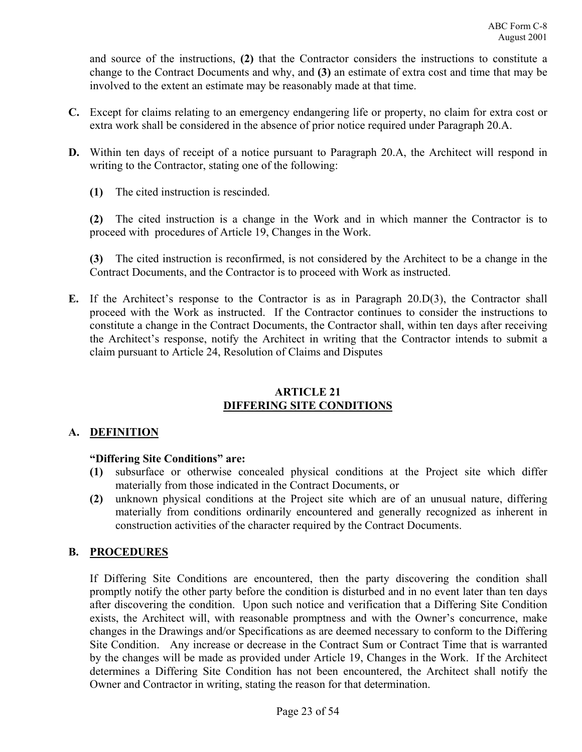and source of the instructions, **(2)** that the Contractor considers the instructions to constitute a change to the Contract Documents and why, and **(3)** an estimate of extra cost and time that may be involved to the extent an estimate may be reasonably made at that time.

- **C.** Except for claims relating to an emergency endangering life or property, no claim for extra cost or extra work shall be considered in the absence of prior notice required under Paragraph 20.A.
- **D.** Within ten days of receipt of a notice pursuant to Paragraph 20.A, the Architect will respond in writing to the Contractor, stating one of the following:
	- **(1)** The cited instruction is rescinded.

**(2)** The cited instruction is a change in the Work and in which manner the Contractor is to proceed with procedures of Article 19, Changes in the Work.

**(3)** The cited instruction is reconfirmed, is not considered by the Architect to be a change in the Contract Documents, and the Contractor is to proceed with Work as instructed.

**E.** If the Architect's response to the Contractor is as in Paragraph 20.D(3), the Contractor shall proceed with the Work as instructed. If the Contractor continues to consider the instructions to constitute a change in the Contract Documents, the Contractor shall, within ten days after receiving the Architect's response, notify the Architect in writing that the Contractor intends to submit a claim pursuant to Article 24, Resolution of Claims and Disputes

#### **ARTICLE 21 DIFFERING SITE CONDITIONS**

# **A. DEFINITION**

# **"Differing Site Conditions" are:**

- **(1)** subsurface or otherwise concealed physical conditions at the Project site which differ materially from those indicated in the Contract Documents, or
- **(2)** unknown physical conditions at the Project site which are of an unusual nature, differing materially from conditions ordinarily encountered and generally recognized as inherent in construction activities of the character required by the Contract Documents.

# **B. PROCEDURES**

If Differing Site Conditions are encountered, then the party discovering the condition shall promptly notify the other party before the condition is disturbed and in no event later than ten days after discovering the condition. Upon such notice and verification that a Differing Site Condition exists, the Architect will, with reasonable promptness and with the Owner's concurrence, make changes in the Drawings and/or Specifications as are deemed necessary to conform to the Differing Site Condition. Any increase or decrease in the Contract Sum or Contract Time that is warranted by the changes will be made as provided under Article 19, Changes in the Work. If the Architect determines a Differing Site Condition has not been encountered, the Architect shall notify the Owner and Contractor in writing, stating the reason for that determination.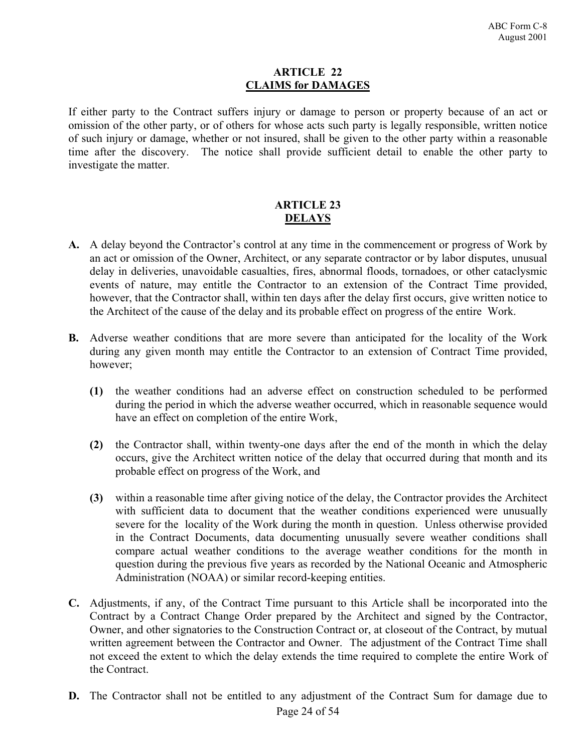#### **ARTICLE 22 CLAIMS for DAMAGES**

If either party to the Contract suffers injury or damage to person or property because of an act or omission of the other party, or of others for whose acts such party is legally responsible, written notice of such injury or damage, whether or not insured, shall be given to the other party within a reasonable time after the discovery. The notice shall provide sufficient detail to enable the other party to investigate the matter.

# **ARTICLE 23 DELAYS**

- **A.** A delay beyond the Contractor's control at any time in the commencement or progress of Work by an act or omission of the Owner, Architect, or any separate contractor or by labor disputes, unusual delay in deliveries, unavoidable casualties, fires, abnormal floods, tornadoes, or other cataclysmic events of nature, may entitle the Contractor to an extension of the Contract Time provided, however, that the Contractor shall, within ten days after the delay first occurs, give written notice to the Architect of the cause of the delay and its probable effect on progress of the entire Work.
- **B.** Adverse weather conditions that are more severe than anticipated for the locality of the Work during any given month may entitle the Contractor to an extension of Contract Time provided, however;
	- **(1)** the weather conditions had an adverse effect on construction scheduled to be performed during the period in which the adverse weather occurred, which in reasonable sequence would have an effect on completion of the entire Work,
	- **(2)** the Contractor shall, within twenty-one days after the end of the month in which the delay occurs, give the Architect written notice of the delay that occurred during that month and its probable effect on progress of the Work, and
	- **(3)** within a reasonable time after giving notice of the delay, the Contractor provides the Architect with sufficient data to document that the weather conditions experienced were unusually severe for the locality of the Work during the month in question. Unless otherwise provided in the Contract Documents, data documenting unusually severe weather conditions shall compare actual weather conditions to the average weather conditions for the month in question during the previous five years as recorded by the National Oceanic and Atmospheric Administration (NOAA) or similar record-keeping entities.
- **C.** Adjustments, if any, of the Contract Time pursuant to this Article shall be incorporated into the Contract by a Contract Change Order prepared by the Architect and signed by the Contractor, Owner, and other signatories to the Construction Contract or, at closeout of the Contract, by mutual written agreement between the Contractor and Owner. The adjustment of the Contract Time shall not exceed the extent to which the delay extends the time required to complete the entire Work of the Contract.
- Page 24 of 54 **D.** The Contractor shall not be entitled to any adjustment of the Contract Sum for damage due to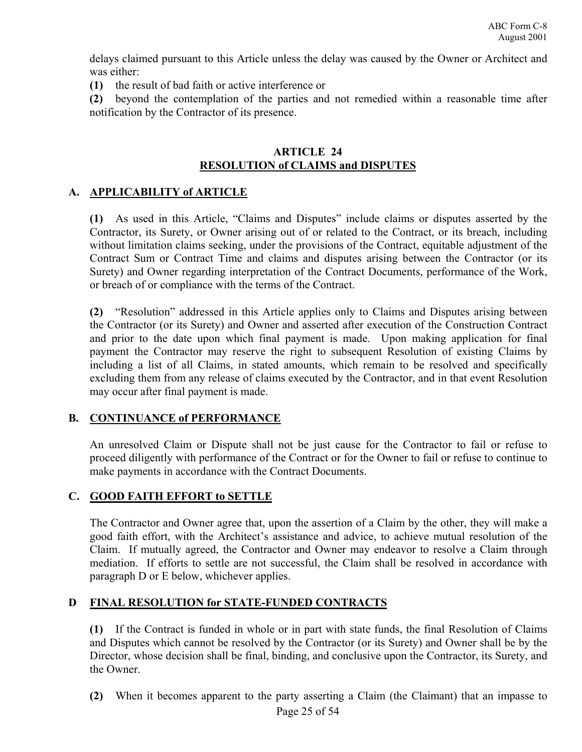delays claimed pursuant to this Article unless the delay was caused by the Owner or Architect and was either:

**(1)** the result of bad faith or active interference or

**(2)** beyond the contemplation of the parties and not remedied within a reasonable time after notification by the Contractor of its presence.

### **ARTICLE 24 RESOLUTION of CLAIMS and DISPUTES**

# **A. APPLICABILITY of ARTICLE**

**(1)** As used in this Article, "Claims and Disputes" include claims or disputes asserted by the Contractor, its Surety, or Owner arising out of or related to the Contract, or its breach, including without limitation claims seeking, under the provisions of the Contract, equitable adjustment of the Contract Sum or Contract Time and claims and disputes arising between the Contractor (or its Surety) and Owner regarding interpretation of the Contract Documents, performance of the Work, or breach of or compliance with the terms of the Contract.

**(2)** "Resolution" addressed in this Article applies only to Claims and Disputes arising between the Contractor (or its Surety) and Owner and asserted after execution of the Construction Contract and prior to the date upon which final payment is made. Upon making application for final payment the Contractor may reserve the right to subsequent Resolution of existing Claims by including a list of all Claims, in stated amounts, which remain to be resolved and specifically excluding them from any release of claims executed by the Contractor, and in that event Resolution may occur after final payment is made.

# **B. CONTINUANCE of PERFORMANCE**

An unresolved Claim or Dispute shall not be just cause for the Contractor to fail or refuse to proceed diligently with performance of the Contract or for the Owner to fail or refuse to continue to make payments in accordance with the Contract Documents.

# **C. GOOD FAITH EFFORT to SETTLE**

The Contractor and Owner agree that, upon the assertion of a Claim by the other, they will make a good faith effort, with the Architect's assistance and advice, to achieve mutual resolution of the Claim. If mutually agreed, the Contractor and Owner may endeavor to resolve a Claim through mediation. If efforts to settle are not successful, the Claim shall be resolved in accordance with paragraph D or E below, whichever applies.

# **D FINAL RESOLUTION for STATE-FUNDED CONTRACTS**

**(1)** If the Contract is funded in whole or in part with state funds, the final Resolution of Claims and Disputes which cannot be resolved by the Contractor (or its Surety) and Owner shall be by the Director, whose decision shall be final, binding, and conclusive upon the Contractor, its Surety, and the Owner.

Page 25 of 54 **(2)** When it becomes apparent to the party asserting a Claim (the Claimant) that an impasse to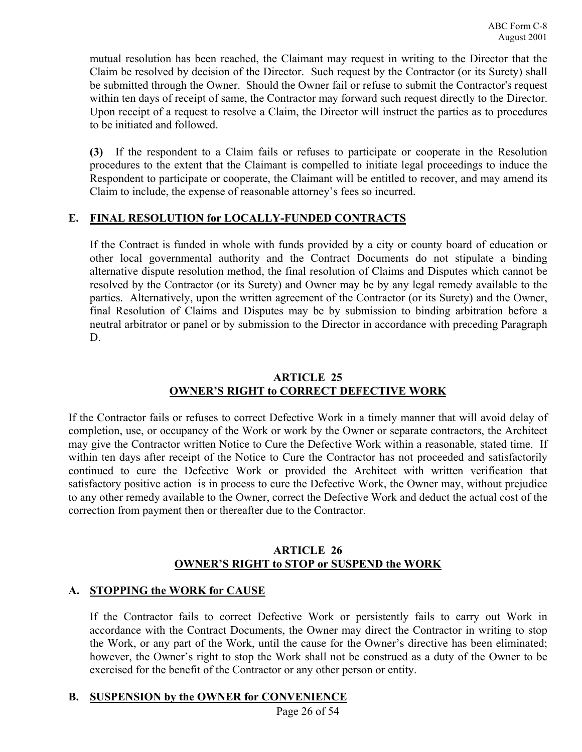mutual resolution has been reached, the Claimant may request in writing to the Director that the Claim be resolved by decision of the Director. Such request by the Contractor (or its Surety) shall be submitted through the Owner. Should the Owner fail or refuse to submit the Contractor's request within ten days of receipt of same, the Contractor may forward such request directly to the Director. Upon receipt of a request to resolve a Claim, the Director will instruct the parties as to procedures to be initiated and followed.

**(3)** If the respondent to a Claim fails or refuses to participate or cooperate in the Resolution procedures to the extent that the Claimant is compelled to initiate legal proceedings to induce the Respondent to participate or cooperate, the Claimant will be entitled to recover, and may amend its Claim to include, the expense of reasonable attorney's fees so incurred.

# **E. FINAL RESOLUTION for LOCALLY-FUNDED CONTRACTS**

If the Contract is funded in whole with funds provided by a city or county board of education or other local governmental authority and the Contract Documents do not stipulate a binding alternative dispute resolution method, the final resolution of Claims and Disputes which cannot be resolved by the Contractor (or its Surety) and Owner may be by any legal remedy available to the parties. Alternatively, upon the written agreement of the Contractor (or its Surety) and the Owner, final Resolution of Claims and Disputes may be by submission to binding arbitration before a neutral arbitrator or panel or by submission to the Director in accordance with preceding Paragraph D.

# **ARTICLE 25 OWNER'S RIGHT to CORRECT DEFECTIVE WORK**

If the Contractor fails or refuses to correct Defective Work in a timely manner that will avoid delay of completion, use, or occupancy of the Work or work by the Owner or separate contractors, the Architect may give the Contractor written Notice to Cure the Defective Work within a reasonable, stated time. If within ten days after receipt of the Notice to Cure the Contractor has not proceeded and satisfactorily continued to cure the Defective Work or provided the Architect with written verification that satisfactory positive action is in process to cure the Defective Work, the Owner may, without prejudice to any other remedy available to the Owner, correct the Defective Work and deduct the actual cost of the correction from payment then or thereafter due to the Contractor.

#### **ARTICLE 26 OWNER'S RIGHT to STOP or SUSPEND the WORK**

# **A. STOPPING the WORK for CAUSE**

If the Contractor fails to correct Defective Work or persistently fails to carry out Work in accordance with the Contract Documents, the Owner may direct the Contractor in writing to stop the Work, or any part of the Work, until the cause for the Owner's directive has been eliminated; however, the Owner's right to stop the Work shall not be construed as a duty of the Owner to be exercised for the benefit of the Contractor or any other person or entity.

# **B. SUSPENSION by the OWNER for CONVENIENCE**

Page 26 of 54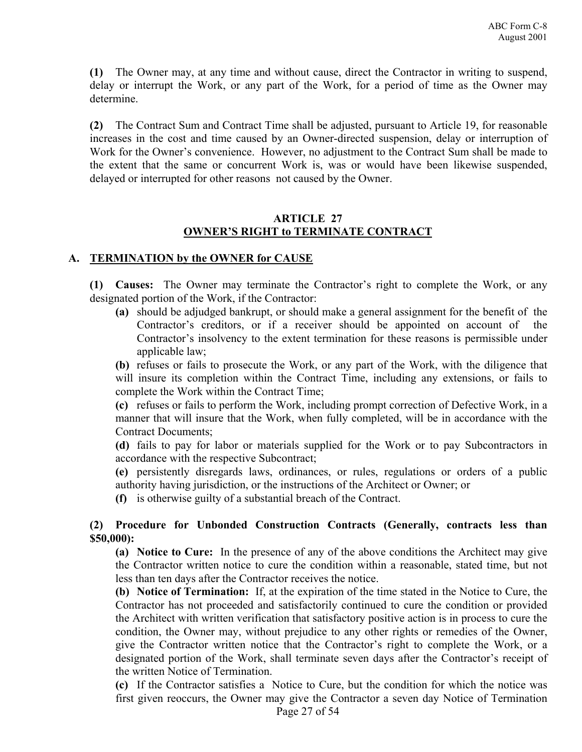**(1)** The Owner may, at any time and without cause, direct the Contractor in writing to suspend, delay or interrupt the Work, or any part of the Work, for a period of time as the Owner may determine.

**(2)** The Contract Sum and Contract Time shall be adjusted, pursuant to Article 19, for reasonable increases in the cost and time caused by an Owner-directed suspension, delay or interruption of Work for the Owner's convenience. However, no adjustment to the Contract Sum shall be made to the extent that the same or concurrent Work is, was or would have been likewise suspended, delayed or interrupted for other reasons not caused by the Owner.

### **ARTICLE 27 OWNER'S RIGHT to TERMINATE CONTRACT**

#### **A. TERMINATION by the OWNER for CAUSE**

**(1) Causes:** The Owner may terminate the Contractor's right to complete the Work, or any designated portion of the Work, if the Contractor:

**(a)** should be adjudged bankrupt, or should make a general assignment for the benefit of the Contractor's creditors, or if a receiver should be appointed on account of the Contractor's insolvency to the extent termination for these reasons is permissible under applicable law;

**(b)** refuses or fails to prosecute the Work, or any part of the Work, with the diligence that will insure its completion within the Contract Time, including any extensions, or fails to complete the Work within the Contract Time;

**(c)** refuses or fails to perform the Work, including prompt correction of Defective Work, in a manner that will insure that the Work, when fully completed, will be in accordance with the Contract Documents;

**(d)** fails to pay for labor or materials supplied for the Work or to pay Subcontractors in accordance with the respective Subcontract;

**(e)** persistently disregards laws, ordinances, or rules, regulations or orders of a public authority having jurisdiction, or the instructions of the Architect or Owner; or

**(f)** is otherwise guilty of a substantial breach of the Contract.

# **(2) Procedure for Unbonded Construction Contracts (Generally, contracts less than \$50,000):**

**(a) Notice to Cure:** In the presence of any of the above conditions the Architect may give the Contractor written notice to cure the condition within a reasonable, stated time, but not less than ten days after the Contractor receives the notice.

**(b) Notice of Termination:** If, at the expiration of the time stated in the Notice to Cure, the Contractor has not proceeded and satisfactorily continued to cure the condition or provided the Architect with written verification that satisfactory positive action is in process to cure the condition, the Owner may, without prejudice to any other rights or remedies of the Owner, give the Contractor written notice that the Contractor's right to complete the Work, or a designated portion of the Work, shall terminate seven days after the Contractor's receipt of the written Notice of Termination.

**(c)** If the Contractor satisfies a Notice to Cure, but the condition for which the notice was first given reoccurs, the Owner may give the Contractor a seven day Notice of Termination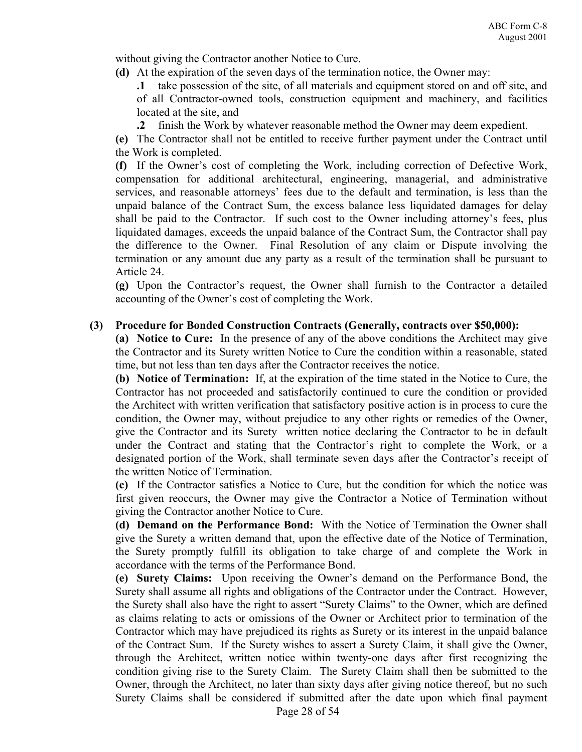without giving the Contractor another Notice to Cure.

**(d)** At the expiration of the seven days of the termination notice, the Owner may:

**.1** take possession of the site, of all materials and equipment stored on and off site, and of all Contractor-owned tools, construction equipment and machinery, and facilities located at the site, and

**.2** finish the Work by whatever reasonable method the Owner may deem expedient.

**(e)** The Contractor shall not be entitled to receive further payment under the Contract until the Work is completed.

**(f)** If the Owner's cost of completing the Work, including correction of Defective Work, compensation for additional architectural, engineering, managerial, and administrative services, and reasonable attorneys' fees due to the default and termination, is less than the unpaid balance of the Contract Sum, the excess balance less liquidated damages for delay shall be paid to the Contractor. If such cost to the Owner including attorney's fees, plus liquidated damages, exceeds the unpaid balance of the Contract Sum, the Contractor shall pay the difference to the Owner. Final Resolution of any claim or Dispute involving the termination or any amount due any party as a result of the termination shall be pursuant to Article 24.

**(g)** Upon the Contractor's request, the Owner shall furnish to the Contractor a detailed accounting of the Owner's cost of completing the Work.

#### **(3) Procedure for Bonded Construction Contracts (Generally, contracts over \$50,000):**

**(a) Notice to Cure:** In the presence of any of the above conditions the Architect may give the Contractor and its Surety written Notice to Cure the condition within a reasonable, stated time, but not less than ten days after the Contractor receives the notice.

**(b) Notice of Termination:** If, at the expiration of the time stated in the Notice to Cure, the Contractor has not proceeded and satisfactorily continued to cure the condition or provided the Architect with written verification that satisfactory positive action is in process to cure the condition, the Owner may, without prejudice to any other rights or remedies of the Owner, give the Contractor and its Surety written notice declaring the Contractor to be in default under the Contract and stating that the Contractor's right to complete the Work, or a designated portion of the Work, shall terminate seven days after the Contractor's receipt of the written Notice of Termination.

**(c)** If the Contractor satisfies a Notice to Cure, but the condition for which the notice was first given reoccurs, the Owner may give the Contractor a Notice of Termination without giving the Contractor another Notice to Cure.

**(d) Demand on the Performance Bond:** With the Notice of Termination the Owner shall give the Surety a written demand that, upon the effective date of the Notice of Termination, the Surety promptly fulfill its obligation to take charge of and complete the Work in accordance with the terms of the Performance Bond.

**(e) Surety Claims:** Upon receiving the Owner's demand on the Performance Bond, the Surety shall assume all rights and obligations of the Contractor under the Contract. However, the Surety shall also have the right to assert "Surety Claims" to the Owner, which are defined as claims relating to acts or omissions of the Owner or Architect prior to termination of the Contractor which may have prejudiced its rights as Surety or its interest in the unpaid balance of the Contract Sum. If the Surety wishes to assert a Surety Claim, it shall give the Owner, through the Architect, written notice within twenty-one days after first recognizing the condition giving rise to the Surety Claim. The Surety Claim shall then be submitted to the Owner, through the Architect, no later than sixty days after giving notice thereof, but no such Surety Claims shall be considered if submitted after the date upon which final payment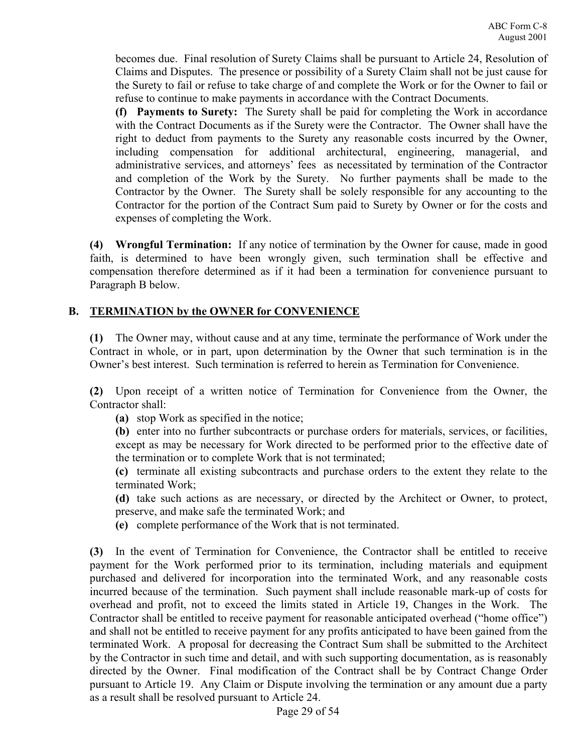becomes due. Final resolution of Surety Claims shall be pursuant to Article 24, Resolution of Claims and Disputes. The presence or possibility of a Surety Claim shall not be just cause for the Surety to fail or refuse to take charge of and complete the Work or for the Owner to fail or refuse to continue to make payments in accordance with the Contract Documents.

**(f) Payments to Surety:** The Surety shall be paid for completing the Work in accordance with the Contract Documents as if the Surety were the Contractor. The Owner shall have the right to deduct from payments to the Surety any reasonable costs incurred by the Owner, including compensation for additional architectural, engineering, managerial, and administrative services, and attorneys' fees as necessitated by termination of the Contractor and completion of the Work by the Surety. No further payments shall be made to the Contractor by the Owner. The Surety shall be solely responsible for any accounting to the Contractor for the portion of the Contract Sum paid to Surety by Owner or for the costs and expenses of completing the Work.

**(4) Wrongful Termination:** If any notice of termination by the Owner for cause, made in good faith, is determined to have been wrongly given, such termination shall be effective and compensation therefore determined as if it had been a termination for convenience pursuant to Paragraph B below.

# **B. TERMINATION by the OWNER for CONVENIENCE**

**(1)** The Owner may, without cause and at any time, terminate the performance of Work under the Contract in whole, or in part, upon determination by the Owner that such termination is in the Owner's best interest. Such termination is referred to herein as Termination for Convenience.

**(2)** Upon receipt of a written notice of Termination for Convenience from the Owner, the Contractor shall:

**(a)** stop Work as specified in the notice;

**(b)** enter into no further subcontracts or purchase orders for materials, services, or facilities, except as may be necessary for Work directed to be performed prior to the effective date of the termination or to complete Work that is not terminated;

**(c)** terminate all existing subcontracts and purchase orders to the extent they relate to the terminated Work;

**(d)** take such actions as are necessary, or directed by the Architect or Owner, to protect, preserve, and make safe the terminated Work; and

**(e)** complete performance of the Work that is not terminated.

**(3)** In the event of Termination for Convenience, the Contractor shall be entitled to receive payment for the Work performed prior to its termination, including materials and equipment purchased and delivered for incorporation into the terminated Work, and any reasonable costs incurred because of the termination. Such payment shall include reasonable mark-up of costs for overhead and profit, not to exceed the limits stated in Article 19, Changes in the Work. The Contractor shall be entitled to receive payment for reasonable anticipated overhead ("home office") and shall not be entitled to receive payment for any profits anticipated to have been gained from the terminated Work. A proposal for decreasing the Contract Sum shall be submitted to the Architect by the Contractor in such time and detail, and with such supporting documentation, as is reasonably directed by the Owner. Final modification of the Contract shall be by Contract Change Order pursuant to Article 19. Any Claim or Dispute involving the termination or any amount due a party as a result shall be resolved pursuant to Article 24.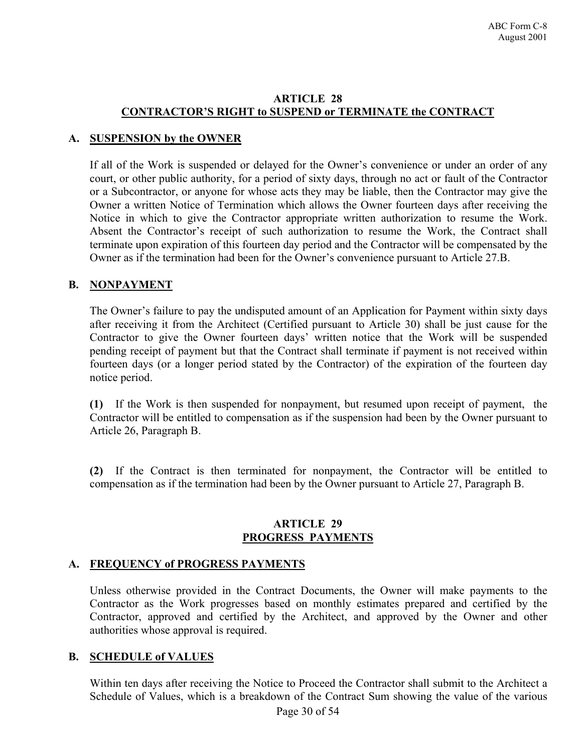#### **ARTICLE 28 CONTRACTOR'S RIGHT to SUSPEND or TERMINATE the CONTRACT**

# **A. SUSPENSION by the OWNER**

If all of the Work is suspended or delayed for the Owner's convenience or under an order of any court, or other public authority, for a period of sixty days, through no act or fault of the Contractor or a Subcontractor, or anyone for whose acts they may be liable, then the Contractor may give the Owner a written Notice of Termination which allows the Owner fourteen days after receiving the Notice in which to give the Contractor appropriate written authorization to resume the Work. Absent the Contractor's receipt of such authorization to resume the Work, the Contract shall terminate upon expiration of this fourteen day period and the Contractor will be compensated by the Owner as if the termination had been for the Owner's convenience pursuant to Article 27.B.

# **B. NONPAYMENT**

The Owner's failure to pay the undisputed amount of an Application for Payment within sixty days after receiving it from the Architect (Certified pursuant to Article 30) shall be just cause for the Contractor to give the Owner fourteen days' written notice that the Work will be suspended pending receipt of payment but that the Contract shall terminate if payment is not received within fourteen days (or a longer period stated by the Contractor) of the expiration of the fourteen day notice period.

**(1)** If the Work is then suspended for nonpayment, but resumed upon receipt of payment, the Contractor will be entitled to compensation as if the suspension had been by the Owner pursuant to Article 26, Paragraph B.

**(2)** If the Contract is then terminated for nonpayment, the Contractor will be entitled to compensation as if the termination had been by the Owner pursuant to Article 27, Paragraph B.

#### **ARTICLE 29 PROGRESS PAYMENTS**

# **A. FREQUENCY of PROGRESS PAYMENTS**

Unless otherwise provided in the Contract Documents, the Owner will make payments to the Contractor as the Work progresses based on monthly estimates prepared and certified by the Contractor, approved and certified by the Architect, and approved by the Owner and other authorities whose approval is required.

# **B. SCHEDULE of VALUES**

Within ten days after receiving the Notice to Proceed the Contractor shall submit to the Architect a Schedule of Values, which is a breakdown of the Contract Sum showing the value of the various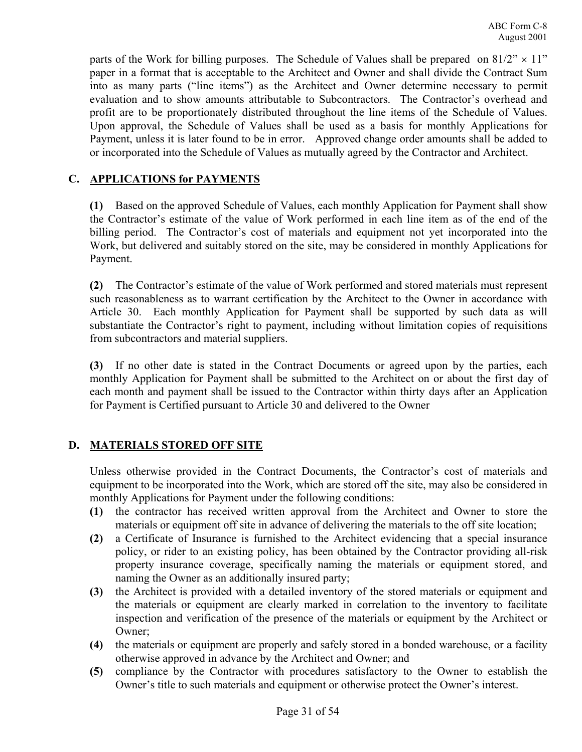parts of the Work for billing purposes. The Schedule of Values shall be prepared on  $81/2$ "  $\times$  11" paper in a format that is acceptable to the Architect and Owner and shall divide the Contract Sum into as many parts ("line items") as the Architect and Owner determine necessary to permit evaluation and to show amounts attributable to Subcontractors. The Contractor's overhead and profit are to be proportionately distributed throughout the line items of the Schedule of Values. Upon approval, the Schedule of Values shall be used as a basis for monthly Applications for Payment, unless it is later found to be in error. Approved change order amounts shall be added to or incorporated into the Schedule of Values as mutually agreed by the Contractor and Architect.

# **C. APPLICATIONS for PAYMENTS**

**(1)** Based on the approved Schedule of Values, each monthly Application for Payment shall show the Contractor's estimate of the value of Work performed in each line item as of the end of the billing period. The Contractor's cost of materials and equipment not yet incorporated into the Work, but delivered and suitably stored on the site, may be considered in monthly Applications for Payment.

**(2)** The Contractor's estimate of the value of Work performed and stored materials must represent such reasonableness as to warrant certification by the Architect to the Owner in accordance with Article 30. Each monthly Application for Payment shall be supported by such data as will substantiate the Contractor's right to payment, including without limitation copies of requisitions from subcontractors and material suppliers.

**(3)** If no other date is stated in the Contract Documents or agreed upon by the parties, each monthly Application for Payment shall be submitted to the Architect on or about the first day of each month and payment shall be issued to the Contractor within thirty days after an Application for Payment is Certified pursuant to Article 30 and delivered to the Owner

# **D. MATERIALS STORED OFF SITE**

Unless otherwise provided in the Contract Documents, the Contractor's cost of materials and equipment to be incorporated into the Work, which are stored off the site, may also be considered in monthly Applications for Payment under the following conditions:

- **(1)** the contractor has received written approval from the Architect and Owner to store the materials or equipment off site in advance of delivering the materials to the off site location;
- **(2)** a Certificate of Insurance is furnished to the Architect evidencing that a special insurance policy, or rider to an existing policy, has been obtained by the Contractor providing all-risk property insurance coverage, specifically naming the materials or equipment stored, and naming the Owner as an additionally insured party;
- **(3)** the Architect is provided with a detailed inventory of the stored materials or equipment and the materials or equipment are clearly marked in correlation to the inventory to facilitate inspection and verification of the presence of the materials or equipment by the Architect or Owner;
- **(4)** the materials or equipment are properly and safely stored in a bonded warehouse, or a facility otherwise approved in advance by the Architect and Owner; and
- **(5)** compliance by the Contractor with procedures satisfactory to the Owner to establish the Owner's title to such materials and equipment or otherwise protect the Owner's interest.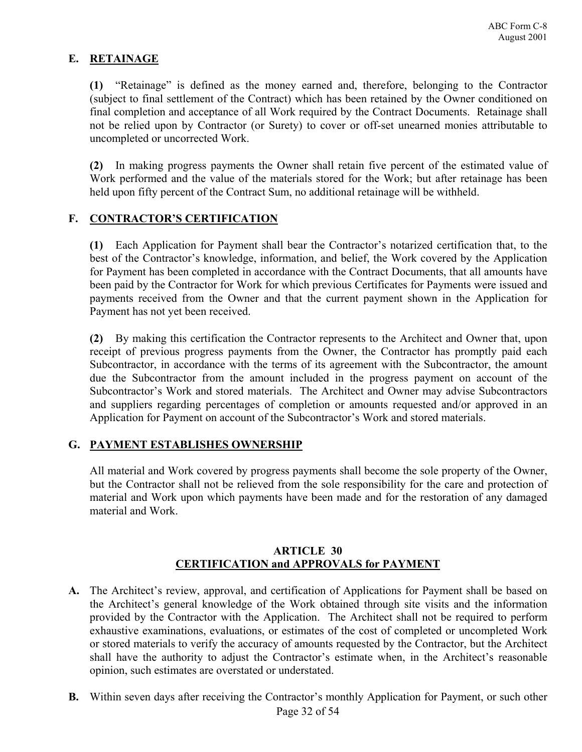# **E. RETAINAGE**

**(1)** "Retainage" is defined as the money earned and, therefore, belonging to the Contractor (subject to final settlement of the Contract) which has been retained by the Owner conditioned on final completion and acceptance of all Work required by the Contract Documents. Retainage shall not be relied upon by Contractor (or Surety) to cover or off-set unearned monies attributable to uncompleted or uncorrected Work.

**(2)** In making progress payments the Owner shall retain five percent of the estimated value of Work performed and the value of the materials stored for the Work; but after retainage has been held upon fifty percent of the Contract Sum, no additional retainage will be withheld.

#### **F. CONTRACTOR'S CERTIFICATION**

**(1)** Each Application for Payment shall bear the Contractor's notarized certification that, to the best of the Contractor's knowledge, information, and belief, the Work covered by the Application for Payment has been completed in accordance with the Contract Documents, that all amounts have been paid by the Contractor for Work for which previous Certificates for Payments were issued and payments received from the Owner and that the current payment shown in the Application for Payment has not yet been received.

**(2)** By making this certification the Contractor represents to the Architect and Owner that, upon receipt of previous progress payments from the Owner, the Contractor has promptly paid each Subcontractor, in accordance with the terms of its agreement with the Subcontractor, the amount due the Subcontractor from the amount included in the progress payment on account of the Subcontractor's Work and stored materials. The Architect and Owner may advise Subcontractors and suppliers regarding percentages of completion or amounts requested and/or approved in an Application for Payment on account of the Subcontractor's Work and stored materials.

#### **G. PAYMENT ESTABLISHES OWNERSHIP**

All material and Work covered by progress payments shall become the sole property of the Owner, but the Contractor shall not be relieved from the sole responsibility for the care and protection of material and Work upon which payments have been made and for the restoration of any damaged material and Work.

#### **ARTICLE 30 CERTIFICATION and APPROVALS for PAYMENT**

- **A.** The Architect's review, approval, and certification of Applications for Payment shall be based on the Architect's general knowledge of the Work obtained through site visits and the information provided by the Contractor with the Application. The Architect shall not be required to perform exhaustive examinations, evaluations, or estimates of the cost of completed or uncompleted Work or stored materials to verify the accuracy of amounts requested by the Contractor, but the Architect shall have the authority to adjust the Contractor's estimate when, in the Architect's reasonable opinion, such estimates are overstated or understated.
- Page 32 of 54 **B.** Within seven days after receiving the Contractor's monthly Application for Payment, or such other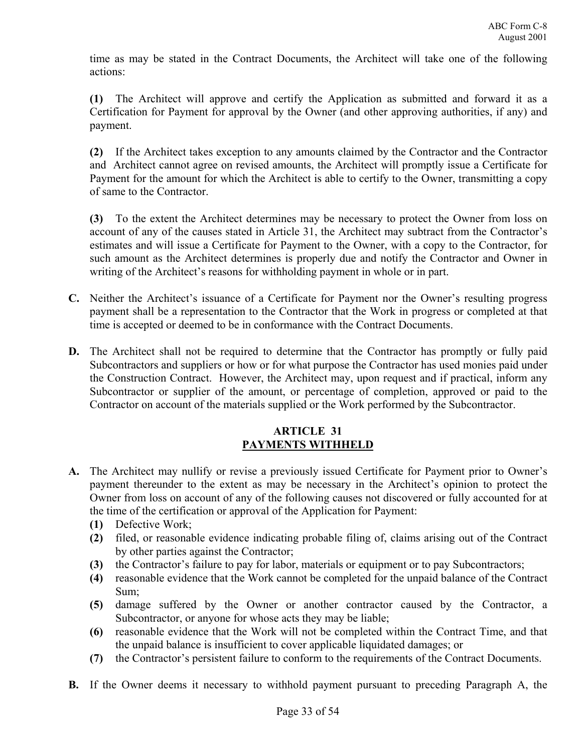time as may be stated in the Contract Documents, the Architect will take one of the following actions:

**(1)** The Architect will approve and certify the Application as submitted and forward it as a Certification for Payment for approval by the Owner (and other approving authorities, if any) and payment.

**(2)** If the Architect takes exception to any amounts claimed by the Contractor and the Contractor and Architect cannot agree on revised amounts, the Architect will promptly issue a Certificate for Payment for the amount for which the Architect is able to certify to the Owner, transmitting a copy of same to the Contractor.

**(3)** To the extent the Architect determines may be necessary to protect the Owner from loss on account of any of the causes stated in Article 31, the Architect may subtract from the Contractor's estimates and will issue a Certificate for Payment to the Owner, with a copy to the Contractor, for such amount as the Architect determines is properly due and notify the Contractor and Owner in writing of the Architect's reasons for withholding payment in whole or in part.

- **C.** Neither the Architect's issuance of a Certificate for Payment nor the Owner's resulting progress payment shall be a representation to the Contractor that the Work in progress or completed at that time is accepted or deemed to be in conformance with the Contract Documents.
- **D.** The Architect shall not be required to determine that the Contractor has promptly or fully paid Subcontractors and suppliers or how or for what purpose the Contractor has used monies paid under the Construction Contract. However, the Architect may, upon request and if practical, inform any Subcontractor or supplier of the amount, or percentage of completion, approved or paid to the Contractor on account of the materials supplied or the Work performed by the Subcontractor.

#### **ARTICLE 31 PAYMENTS WITHHELD**

- **A.** The Architect may nullify or revise a previously issued Certificate for Payment prior to Owner's payment thereunder to the extent as may be necessary in the Architect's opinion to protect the Owner from loss on account of any of the following causes not discovered or fully accounted for at the time of the certification or approval of the Application for Payment:
	- **(1)** Defective Work;
	- **(2)** filed, or reasonable evidence indicating probable filing of, claims arising out of the Contract by other parties against the Contractor;
	- **(3)** the Contractor's failure to pay for labor, materials or equipment or to pay Subcontractors;
	- **(4)** reasonable evidence that the Work cannot be completed for the unpaid balance of the Contract Sum;
	- **(5)** damage suffered by the Owner or another contractor caused by the Contractor, a Subcontractor, or anyone for whose acts they may be liable;
	- **(6)** reasonable evidence that the Work will not be completed within the Contract Time, and that the unpaid balance is insufficient to cover applicable liquidated damages; or
	- **(7)** the Contractor's persistent failure to conform to the requirements of the Contract Documents.
- **B.** If the Owner deems it necessary to withhold payment pursuant to preceding Paragraph A, the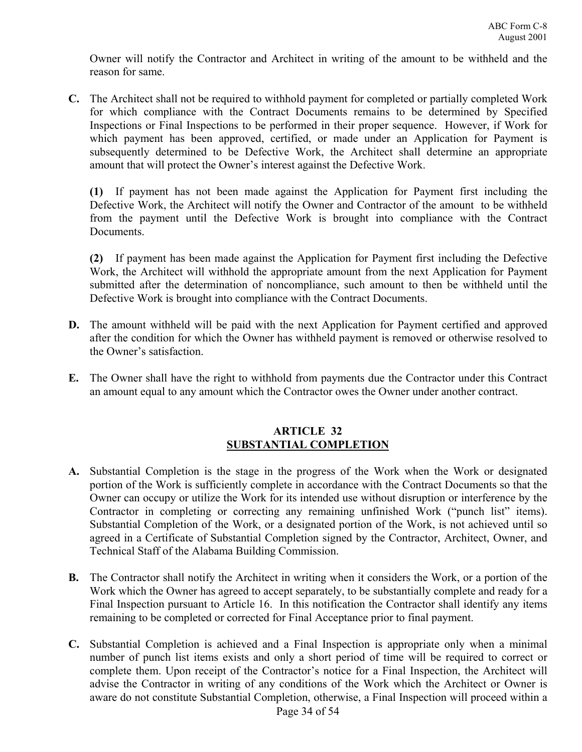Owner will notify the Contractor and Architect in writing of the amount to be withheld and the reason for same.

**C.** The Architect shall not be required to withhold payment for completed or partially completed Work for which compliance with the Contract Documents remains to be determined by Specified Inspections or Final Inspections to be performed in their proper sequence. However, if Work for which payment has been approved, certified, or made under an Application for Payment is subsequently determined to be Defective Work, the Architect shall determine an appropriate amount that will protect the Owner's interest against the Defective Work.

**(1)** If payment has not been made against the Application for Payment first including the Defective Work, the Architect will notify the Owner and Contractor of the amount to be withheld from the payment until the Defective Work is brought into compliance with the Contract **Documents** 

**(2)** If payment has been made against the Application for Payment first including the Defective Work, the Architect will withhold the appropriate amount from the next Application for Payment submitted after the determination of noncompliance, such amount to then be withheld until the Defective Work is brought into compliance with the Contract Documents.

- **D.** The amount withheld will be paid with the next Application for Payment certified and approved after the condition for which the Owner has withheld payment is removed or otherwise resolved to the Owner's satisfaction.
- **E.** The Owner shall have the right to withhold from payments due the Contractor under this Contract an amount equal to any amount which the Contractor owes the Owner under another contract.

#### **ARTICLE 32 SUBSTANTIAL COMPLETION**

- **A.** Substantial Completion is the stage in the progress of the Work when the Work or designated portion of the Work is sufficiently complete in accordance with the Contract Documents so that the Owner can occupy or utilize the Work for its intended use without disruption or interference by the Contractor in completing or correcting any remaining unfinished Work ("punch list" items). Substantial Completion of the Work, or a designated portion of the Work, is not achieved until so agreed in a Certificate of Substantial Completion signed by the Contractor, Architect, Owner, and Technical Staff of the Alabama Building Commission.
- **B.** The Contractor shall notify the Architect in writing when it considers the Work, or a portion of the Work which the Owner has agreed to accept separately, to be substantially complete and ready for a Final Inspection pursuant to Article 16. In this notification the Contractor shall identify any items remaining to be completed or corrected for Final Acceptance prior to final payment.
- **C.** Substantial Completion is achieved and a Final Inspection is appropriate only when a minimal number of punch list items exists and only a short period of time will be required to correct or complete them. Upon receipt of the Contractor's notice for a Final Inspection, the Architect will advise the Contractor in writing of any conditions of the Work which the Architect or Owner is aware do not constitute Substantial Completion, otherwise, a Final Inspection will proceed within a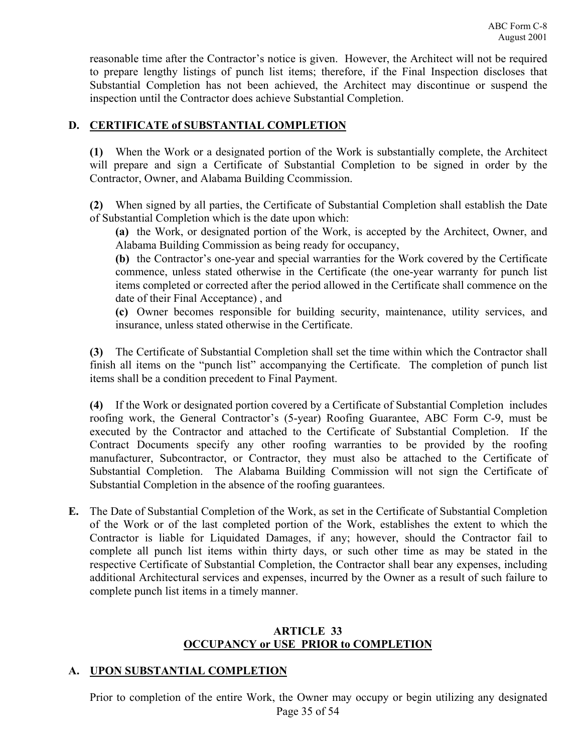reasonable time after the Contractor's notice is given. However, the Architect will not be required to prepare lengthy listings of punch list items; therefore, if the Final Inspection discloses that Substantial Completion has not been achieved, the Architect may discontinue or suspend the inspection until the Contractor does achieve Substantial Completion.

# **D. CERTIFICATE of SUBSTANTIAL COMPLETION**

**(1)** When the Work or a designated portion of the Work is substantially complete, the Architect will prepare and sign a Certificate of Substantial Completion to be signed in order by the Contractor, Owner, and Alabama Building Ccommission.

**(2)** When signed by all parties, the Certificate of Substantial Completion shall establish the Date of Substantial Completion which is the date upon which:

**(a)** the Work, or designated portion of the Work, is accepted by the Architect, Owner, and Alabama Building Commission as being ready for occupancy,

**(b)** the Contractor's one-year and special warranties for the Work covered by the Certificate commence, unless stated otherwise in the Certificate (the one-year warranty for punch list items completed or corrected after the period allowed in the Certificate shall commence on the date of their Final Acceptance) , and

**(c)** Owner becomes responsible for building security, maintenance, utility services, and insurance, unless stated otherwise in the Certificate.

**(3)** The Certificate of Substantial Completion shall set the time within which the Contractor shall finish all items on the "punch list" accompanying the Certificate. The completion of punch list items shall be a condition precedent to Final Payment.

**(4)** If the Work or designated portion covered by a Certificate of Substantial Completion includes roofing work, the General Contractor's (5-year) Roofing Guarantee, ABC Form C-9, must be executed by the Contractor and attached to the Certificate of Substantial Completion. If the Contract Documents specify any other roofing warranties to be provided by the roofing manufacturer, Subcontractor, or Contractor, they must also be attached to the Certificate of Substantial Completion. The Alabama Building Commission will not sign the Certificate of Substantial Completion in the absence of the roofing guarantees.

**E.** The Date of Substantial Completion of the Work, as set in the Certificate of Substantial Completion of the Work or of the last completed portion of the Work, establishes the extent to which the Contractor is liable for Liquidated Damages, if any; however, should the Contractor fail to complete all punch list items within thirty days, or such other time as may be stated in the respective Certificate of Substantial Completion, the Contractor shall bear any expenses, including additional Architectural services and expenses, incurred by the Owner as a result of such failure to complete punch list items in a timely manner.

# **ARTICLE 33 OCCUPANCY or USE PRIOR to COMPLETION**

# **A. UPON SUBSTANTIAL COMPLETION**

Page 35 of 54 Prior to completion of the entire Work, the Owner may occupy or begin utilizing any designated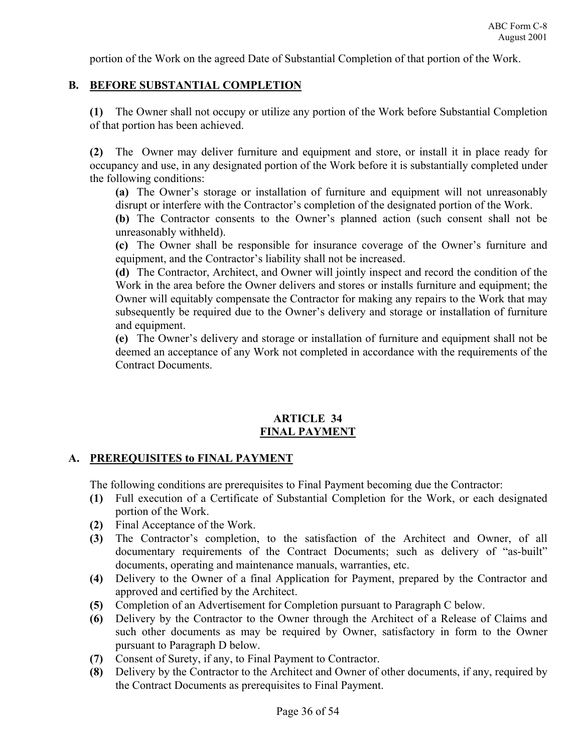portion of the Work on the agreed Date of Substantial Completion of that portion of the Work.

# **B. BEFORE SUBSTANTIAL COMPLETION**

**(1)** The Owner shall not occupy or utilize any portion of the Work before Substantial Completion of that portion has been achieved.

**(2)** The Owner may deliver furniture and equipment and store, or install it in place ready for occupancy and use, in any designated portion of the Work before it is substantially completed under the following conditions:

**(a)** The Owner's storage or installation of furniture and equipment will not unreasonably disrupt or interfere with the Contractor's completion of the designated portion of the Work.

**(b)** The Contractor consents to the Owner's planned action (such consent shall not be unreasonably withheld).

**(c)** The Owner shall be responsible for insurance coverage of the Owner's furniture and equipment, and the Contractor's liability shall not be increased.

**(d)** The Contractor, Architect, and Owner will jointly inspect and record the condition of the Work in the area before the Owner delivers and stores or installs furniture and equipment; the Owner will equitably compensate the Contractor for making any repairs to the Work that may subsequently be required due to the Owner's delivery and storage or installation of furniture and equipment.

**(e)** The Owner's delivery and storage or installation of furniture and equipment shall not be deemed an acceptance of any Work not completed in accordance with the requirements of the Contract Documents.

# **ARTICLE 34 FINAL PAYMENT**

# **A. PREREQUISITES to FINAL PAYMENT**

The following conditions are prerequisites to Final Payment becoming due the Contractor:

- **(1)** Full execution of a Certificate of Substantial Completion for the Work, or each designated portion of the Work.
- **(2)** Final Acceptance of the Work.
- **(3)** The Contractor's completion, to the satisfaction of the Architect and Owner, of all documentary requirements of the Contract Documents; such as delivery of "as-built" documents, operating and maintenance manuals, warranties, etc.
- **(4)** Delivery to the Owner of a final Application for Payment, prepared by the Contractor and approved and certified by the Architect.
- **(5)** Completion of an Advertisement for Completion pursuant to Paragraph C below.
- **(6)** Delivery by the Contractor to the Owner through the Architect of a Release of Claims and such other documents as may be required by Owner, satisfactory in form to the Owner pursuant to Paragraph D below.
- **(7)** Consent of Surety, if any, to Final Payment to Contractor.
- **(8)** Delivery by the Contractor to the Architect and Owner of other documents, if any, required by the Contract Documents as prerequisites to Final Payment.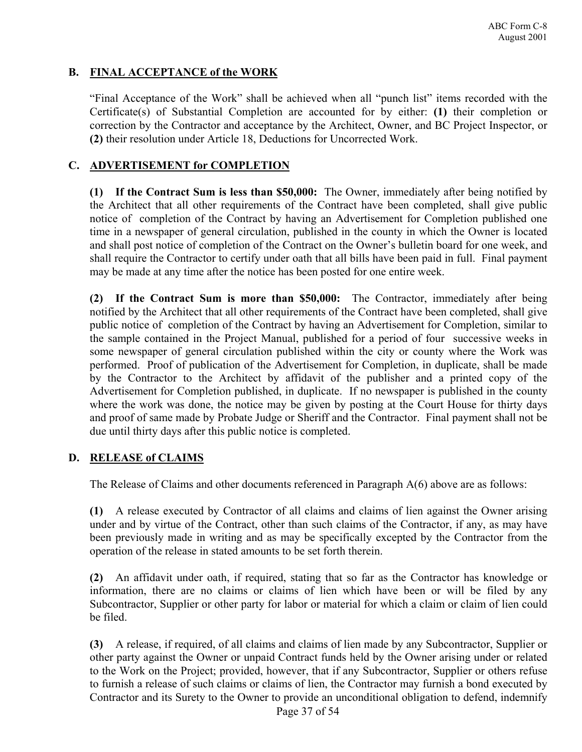# **B. FINAL ACCEPTANCE of the WORK**

"Final Acceptance of the Work" shall be achieved when all "punch list" items recorded with the Certificate(s) of Substantial Completion are accounted for by either: **(1)** their completion or correction by the Contractor and acceptance by the Architect, Owner, and BC Project Inspector, or **(2)** their resolution under Article 18, Deductions for Uncorrected Work.

# **C. ADVERTISEMENT for COMPLETION**

**(1) If the Contract Sum is less than \$50,000:** The Owner, immediately after being notified by the Architect that all other requirements of the Contract have been completed, shall give public notice of completion of the Contract by having an Advertisement for Completion published one time in a newspaper of general circulation, published in the county in which the Owner is located and shall post notice of completion of the Contract on the Owner's bulletin board for one week, and shall require the Contractor to certify under oath that all bills have been paid in full. Final payment may be made at any time after the notice has been posted for one entire week.

**(2) If the Contract Sum is more than \$50,000:** The Contractor, immediately after being notified by the Architect that all other requirements of the Contract have been completed, shall give public notice of completion of the Contract by having an Advertisement for Completion, similar to the sample contained in the Project Manual, published for a period of four successive weeks in some newspaper of general circulation published within the city or county where the Work was performed. Proof of publication of the Advertisement for Completion, in duplicate, shall be made by the Contractor to the Architect by affidavit of the publisher and a printed copy of the Advertisement for Completion published, in duplicate. If no newspaper is published in the county where the work was done, the notice may be given by posting at the Court House for thirty days and proof of same made by Probate Judge or Sheriff and the Contractor. Final payment shall not be due until thirty days after this public notice is completed.

# **D. RELEASE of CLAIMS**

The Release of Claims and other documents referenced in Paragraph A(6) above are as follows:

**(1)** A release executed by Contractor of all claims and claims of lien against the Owner arising under and by virtue of the Contract, other than such claims of the Contractor, if any, as may have been previously made in writing and as may be specifically excepted by the Contractor from the operation of the release in stated amounts to be set forth therein.

**(2)** An affidavit under oath, if required, stating that so far as the Contractor has knowledge or information, there are no claims or claims of lien which have been or will be filed by any Subcontractor, Supplier or other party for labor or material for which a claim or claim of lien could be filed.

**(3)** A release, if required, of all claims and claims of lien made by any Subcontractor, Supplier or other party against the Owner or unpaid Contract funds held by the Owner arising under or related to the Work on the Project; provided, however, that if any Subcontractor, Supplier or others refuse to furnish a release of such claims or claims of lien, the Contractor may furnish a bond executed by Contractor and its Surety to the Owner to provide an unconditional obligation to defend, indemnify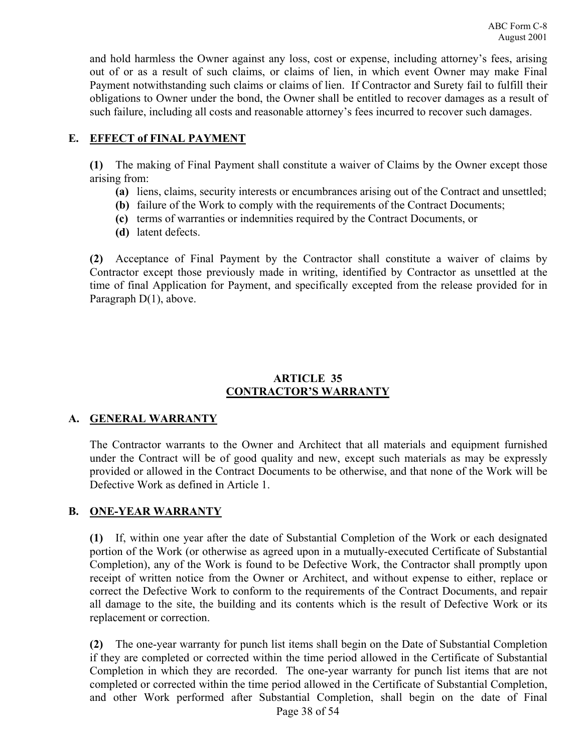and hold harmless the Owner against any loss, cost or expense, including attorney's fees, arising out of or as a result of such claims, or claims of lien, in which event Owner may make Final Payment notwithstanding such claims or claims of lien. If Contractor and Surety fail to fulfill their obligations to Owner under the bond, the Owner shall be entitled to recover damages as a result of such failure, including all costs and reasonable attorney's fees incurred to recover such damages.

# **E. EFFECT of FINAL PAYMENT**

**(1)** The making of Final Payment shall constitute a waiver of Claims by the Owner except those arising from:

- **(a)** liens, claims, security interests or encumbrances arising out of the Contract and unsettled;
- **(b)** failure of the Work to comply with the requirements of the Contract Documents;
- **(c)** terms of warranties or indemnities required by the Contract Documents, or
- **(d)** latent defects.

**(2)** Acceptance of Final Payment by the Contractor shall constitute a waiver of claims by Contractor except those previously made in writing, identified by Contractor as unsettled at the time of final Application for Payment, and specifically excepted from the release provided for in Paragraph D(1), above.

# **ARTICLE 35 CONTRACTOR'S WARRANTY**

# **A. GENERAL WARRANTY**

The Contractor warrants to the Owner and Architect that all materials and equipment furnished under the Contract will be of good quality and new, except such materials as may be expressly provided or allowed in the Contract Documents to be otherwise, and that none of the Work will be Defective Work as defined in Article 1.

# **B. ONE-YEAR WARRANTY**

**(1)** If, within one year after the date of Substantial Completion of the Work or each designated portion of the Work (or otherwise as agreed upon in a mutually-executed Certificate of Substantial Completion), any of the Work is found to be Defective Work, the Contractor shall promptly upon receipt of written notice from the Owner or Architect, and without expense to either, replace or correct the Defective Work to conform to the requirements of the Contract Documents, and repair all damage to the site, the building and its contents which is the result of Defective Work or its replacement or correction.

**(2)** The one-year warranty for punch list items shall begin on the Date of Substantial Completion if they are completed or corrected within the time period allowed in the Certificate of Substantial Completion in which they are recorded. The one-year warranty for punch list items that are not completed or corrected within the time period allowed in the Certificate of Substantial Completion, and other Work performed after Substantial Completion, shall begin on the date of Final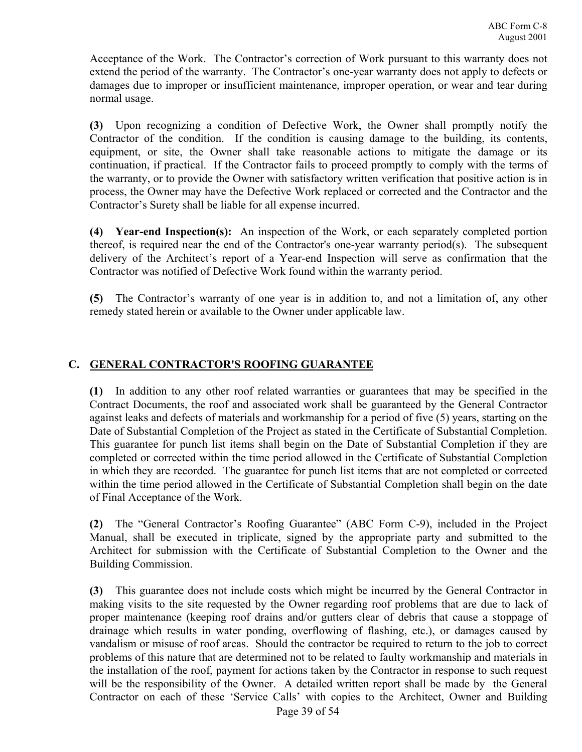Acceptance of the Work. The Contractor's correction of Work pursuant to this warranty does not extend the period of the warranty. The Contractor's one-year warranty does not apply to defects or damages due to improper or insufficient maintenance, improper operation, or wear and tear during normal usage.

**(3)** Upon recognizing a condition of Defective Work, the Owner shall promptly notify the Contractor of the condition. If the condition is causing damage to the building, its contents, equipment, or site, the Owner shall take reasonable actions to mitigate the damage or its continuation, if practical. If the Contractor fails to proceed promptly to comply with the terms of the warranty, or to provide the Owner with satisfactory written verification that positive action is in process, the Owner may have the Defective Work replaced or corrected and the Contractor and the Contractor's Surety shall be liable for all expense incurred.

**(4) Year-end Inspection(s):** An inspection of the Work, or each separately completed portion thereof, is required near the end of the Contractor's one-year warranty period(s). The subsequent delivery of the Architect's report of a Year-end Inspection will serve as confirmation that the Contractor was notified of Defective Work found within the warranty period.

**(5)** The Contractor's warranty of one year is in addition to, and not a limitation of, any other remedy stated herein or available to the Owner under applicable law.

# **C. GENERAL CONTRACTOR'S ROOFING GUARANTEE**

**(1)** In addition to any other roof related warranties or guarantees that may be specified in the Contract Documents, the roof and associated work shall be guaranteed by the General Contractor against leaks and defects of materials and workmanship for a period of five (5) years, starting on the Date of Substantial Completion of the Project as stated in the Certificate of Substantial Completion. This guarantee for punch list items shall begin on the Date of Substantial Completion if they are completed or corrected within the time period allowed in the Certificate of Substantial Completion in which they are recorded. The guarantee for punch list items that are not completed or corrected within the time period allowed in the Certificate of Substantial Completion shall begin on the date of Final Acceptance of the Work.

**(2)** The "General Contractor's Roofing Guarantee" (ABC Form C-9), included in the Project Manual, shall be executed in triplicate, signed by the appropriate party and submitted to the Architect for submission with the Certificate of Substantial Completion to the Owner and the Building Commission.

**(3)** This guarantee does not include costs which might be incurred by the General Contractor in making visits to the site requested by the Owner regarding roof problems that are due to lack of proper maintenance (keeping roof drains and/or gutters clear of debris that cause a stoppage of drainage which results in water ponding, overflowing of flashing, etc.), or damages caused by vandalism or misuse of roof areas. Should the contractor be required to return to the job to correct problems of this nature that are determined not to be related to faulty workmanship and materials in the installation of the roof, payment for actions taken by the Contractor in response to such request will be the responsibility of the Owner. A detailed written report shall be made by the General Contractor on each of these 'Service Calls' with copies to the Architect, Owner and Building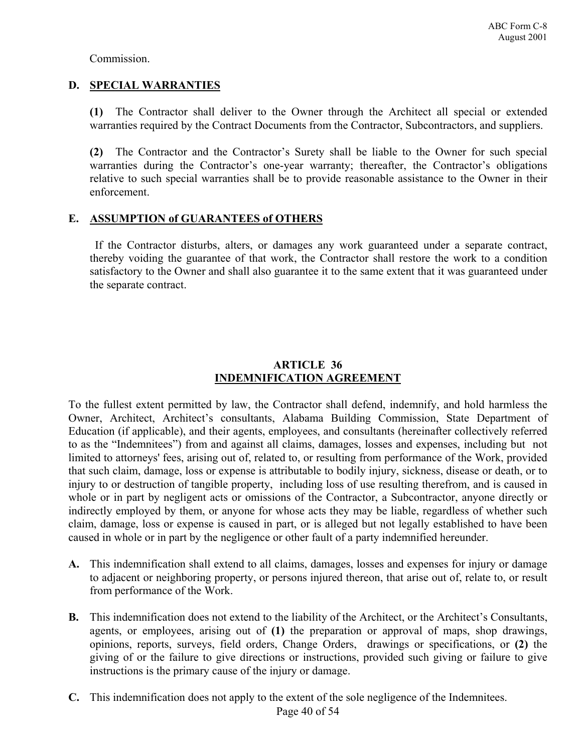Commission.

# **D. SPECIAL WARRANTIES**

**(1)** The Contractor shall deliver to the Owner through the Architect all special or extended warranties required by the Contract Documents from the Contractor, Subcontractors, and suppliers.

**(2)** The Contractor and the Contractor's Surety shall be liable to the Owner for such special warranties during the Contractor's one-year warranty; thereafter, the Contractor's obligations relative to such special warranties shall be to provide reasonable assistance to the Owner in their enforcement.

# **E. ASSUMPTION of GUARANTEES of OTHERS**

 If the Contractor disturbs, alters, or damages any work guaranteed under a separate contract, thereby voiding the guarantee of that work, the Contractor shall restore the work to a condition satisfactory to the Owner and shall also guarantee it to the same extent that it was guaranteed under the separate contract.

### **ARTICLE 36 INDEMNIFICATION AGREEMENT**

To the fullest extent permitted by law, the Contractor shall defend, indemnify, and hold harmless the Owner, Architect, Architect's consultants, Alabama Building Commission, State Department of Education (if applicable), and their agents, employees, and consultants (hereinafter collectively referred to as the "Indemnitees") from and against all claims, damages, losses and expenses, including but not limited to attorneys' fees, arising out of, related to, or resulting from performance of the Work, provided that such claim, damage, loss or expense is attributable to bodily injury, sickness, disease or death, or to injury to or destruction of tangible property, including loss of use resulting therefrom, and is caused in whole or in part by negligent acts or omissions of the Contractor, a Subcontractor, anyone directly or indirectly employed by them, or anyone for whose acts they may be liable, regardless of whether such claim, damage, loss or expense is caused in part, or is alleged but not legally established to have been caused in whole or in part by the negligence or other fault of a party indemnified hereunder.

- **A.** This indemnification shall extend to all claims, damages, losses and expenses for injury or damage to adjacent or neighboring property, or persons injured thereon, that arise out of, relate to, or result from performance of the Work.
- **B.** This indemnification does not extend to the liability of the Architect, or the Architect's Consultants, agents, or employees, arising out of **(1)** the preparation or approval of maps, shop drawings, opinions, reports, surveys, field orders, Change Orders, drawings or specifications, or **(2)** the giving of or the failure to give directions or instructions, provided such giving or failure to give instructions is the primary cause of the injury or damage.
- **C.** This indemnification does not apply to the extent of the sole negligence of the Indemnitees.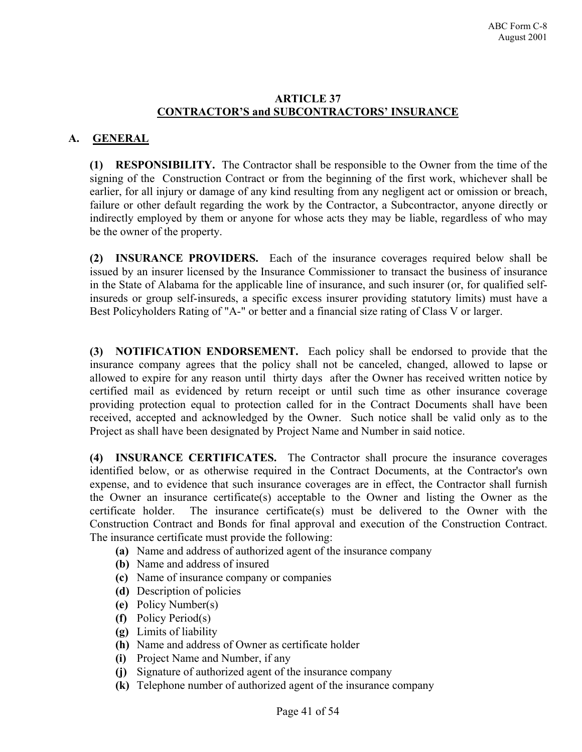#### **ARTICLE 37 CONTRACTOR'S and SUBCONTRACTORS' INSURANCE**

# **A. GENERAL**

**(1) RESPONSIBILITY.** The Contractor shall be responsible to the Owner from the time of the signing of the Construction Contract or from the beginning of the first work, whichever shall be earlier, for all injury or damage of any kind resulting from any negligent act or omission or breach, failure or other default regarding the work by the Contractor, a Subcontractor, anyone directly or indirectly employed by them or anyone for whose acts they may be liable, regardless of who may be the owner of the property.

**(2) INSURANCE PROVIDERS.** Each of the insurance coverages required below shall be issued by an insurer licensed by the Insurance Commissioner to transact the business of insurance in the State of Alabama for the applicable line of insurance, and such insurer (or, for qualified selfinsureds or group self-insureds, a specific excess insurer providing statutory limits) must have a Best Policyholders Rating of "A-" or better and a financial size rating of Class V or larger.

**(3) NOTIFICATION ENDORSEMENT.** Each policy shall be endorsed to provide that the insurance company agrees that the policy shall not be canceled, changed, allowed to lapse or allowed to expire for any reason until thirty days after the Owner has received written notice by certified mail as evidenced by return receipt or until such time as other insurance coverage providing protection equal to protection called for in the Contract Documents shall have been received, accepted and acknowledged by the Owner. Such notice shall be valid only as to the Project as shall have been designated by Project Name and Number in said notice.

**(4) INSURANCE CERTIFICATES.** The Contractor shall procure the insurance coverages identified below, or as otherwise required in the Contract Documents, at the Contractor's own expense, and to evidence that such insurance coverages are in effect, the Contractor shall furnish the Owner an insurance certificate(s) acceptable to the Owner and listing the Owner as the certificate holder. The insurance certificate(s) must be delivered to the Owner with the Construction Contract and Bonds for final approval and execution of the Construction Contract. The insurance certificate must provide the following:

- **(a)** Name and address of authorized agent of the insurance company
- **(b)** Name and address of insured
- **(c)** Name of insurance company or companies
- **(d)** Description of policies
- **(e)** Policy Number(s)
- **(f)** Policy Period(s)
- **(g)** Limits of liability
- **(h)** Name and address of Owner as certificate holder
- **(i)** Project Name and Number, if any
- **(j)** Signature of authorized agent of the insurance company
- **(k)** Telephone number of authorized agent of the insurance company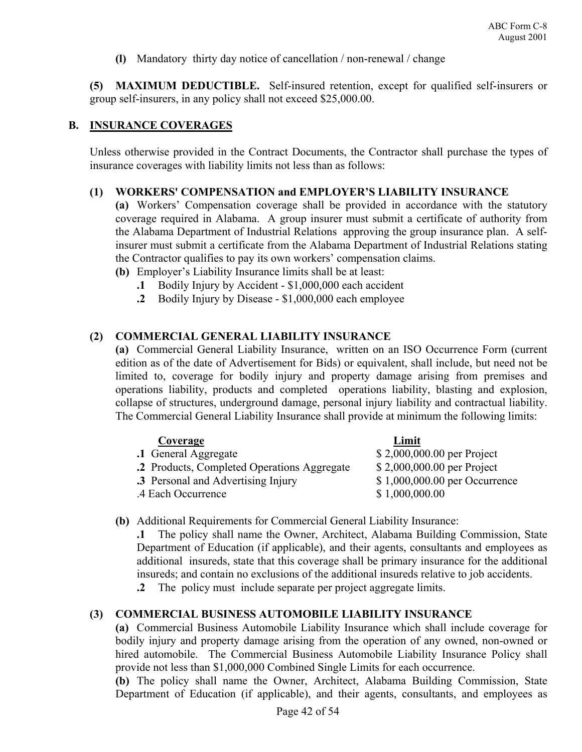**(l)** Mandatory thirty day notice of cancellation / non-renewal / change

**(5) MAXIMUM DEDUCTIBLE.** Self-insured retention, except for qualified self-insurers or group self-insurers, in any policy shall not exceed \$25,000.00.

#### **B. INSURANCE COVERAGES**

Unless otherwise provided in the Contract Documents, the Contractor shall purchase the types of insurance coverages with liability limits not less than as follows:

#### **(1) WORKERS' COMPENSATION and EMPLOYER'S LIABILITY INSURANCE**

**(a)** Workers' Compensation coverage shall be provided in accordance with the statutory coverage required in Alabama. A group insurer must submit a certificate of authority from the Alabama Department of Industrial Relations approving the group insurance plan. A selfinsurer must submit a certificate from the Alabama Department of Industrial Relations stating the Contractor qualifies to pay its own workers' compensation claims.

- **(b)** Employer's Liability Insurance limits shall be at least:
	- **.1** Bodily Injury by Accident \$1,000,000 each accident
	- **.2** Bodily Injury by Disease \$1,000,000 each employee

# **(2) COMMERCIAL GENERAL LIABILITY INSURANCE**

**(a)** Commercial General Liability Insurance, written on an ISO Occurrence Form (current edition as of the date of Advertisement for Bids) or equivalent, shall include, but need not be limited to, coverage for bodily injury and property damage arising from premises and operations liability, products and completed operations liability, blasting and explosion, collapse of structures, underground damage, personal injury liability and contractual liability. The Commercial General Liability Insurance shall provide at minimum the following limits:

| Coverage                                    | Limit                         |
|---------------------------------------------|-------------------------------|
| .1 General Aggregate                        | \$2,000,000.00 per Project    |
| .2 Products, Completed Operations Aggregate | \$2,000,000.00 per Project    |
| .3 Personal and Advertising Injury          | \$1,000,000.00 per Occurrence |
| .4 Each Occurrence                          | \$1,000,000.00                |
|                                             |                               |

**(b)** Additional Requirements for Commercial General Liability Insurance:

**.1** The policy shall name the Owner, Architect, Alabama Building Commission, State Department of Education (if applicable), and their agents, consultants and employees as additional insureds, state that this coverage shall be primary insurance for the additional insureds; and contain no exclusions of the additional insureds relative to job accidents.

**.2** The policy must include separate per project aggregate limits.

#### **(3) COMMERCIAL BUSINESS AUTOMOBILE LIABILITY INSURANCE**

**(a)** Commercial Business Automobile Liability Insurance which shall include coverage for bodily injury and property damage arising from the operation of any owned, non-owned or hired automobile. The Commercial Business Automobile Liability Insurance Policy shall provide not less than \$1,000,000 Combined Single Limits for each occurrence.

**(b)** The policy shall name the Owner, Architect, Alabama Building Commission, State Department of Education (if applicable), and their agents, consultants, and employees as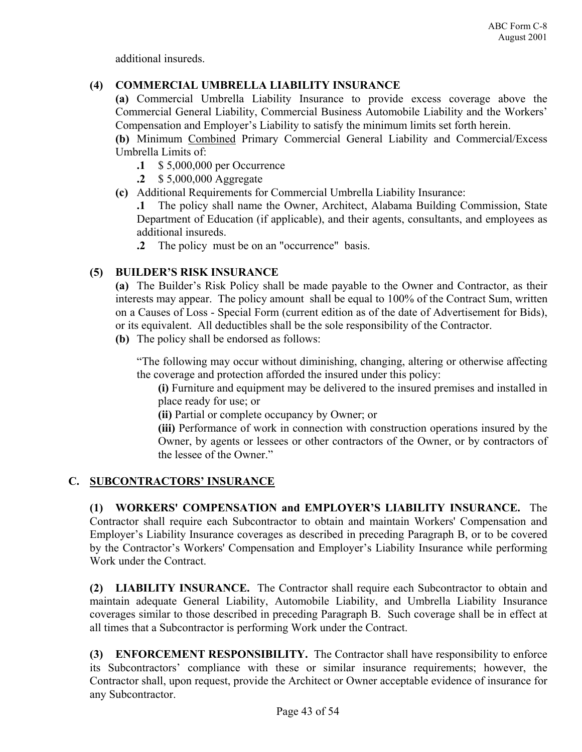additional insureds.

# **(4) COMMERCIAL UMBRELLA LIABILITY INSURANCE**

**(a)** Commercial Umbrella Liability Insurance to provide excess coverage above the Commercial General Liability, Commercial Business Automobile Liability and the Workers' Compensation and Employer's Liability to satisfy the minimum limits set forth herein.

**(b)** Minimum Combined Primary Commercial General Liability and Commercial/Excess Umbrella Limits of:

- **.1** \$ 5,000,000 per Occurrence
- **.2** \$ 5,000,000 Aggregate
- **(c)** Additional Requirements for Commercial Umbrella Liability Insurance:

**.1** The policy shall name the Owner, Architect, Alabama Building Commission, State Department of Education (if applicable), and their agents, consultants, and employees as additional insureds.

**.2** The policy must be on an "occurrence" basis.

# **(5) BUILDER'S RISK INSURANCE**

**(a)** The Builder's Risk Policy shall be made payable to the Owner and Contractor, as their interests may appear. The policy amount shall be equal to 100% of the Contract Sum, written on a Causes of Loss - Special Form (current edition as of the date of Advertisement for Bids), or its equivalent. All deductibles shall be the sole responsibility of the Contractor.

**(b)** The policy shall be endorsed as follows:

"The following may occur without diminishing, changing, altering or otherwise affecting the coverage and protection afforded the insured under this policy:

**(i)** Furniture and equipment may be delivered to the insured premises and installed in place ready for use; or

**(ii)** Partial or complete occupancy by Owner; or

**(iii)** Performance of work in connection with construction operations insured by the Owner, by agents or lessees or other contractors of the Owner, or by contractors of the lessee of the Owner."

# **C. SUBCONTRACTORS' INSURANCE**

**(1) WORKERS' COMPENSATION and EMPLOYER'S LIABILITY INSURANCE.** The Contractor shall require each Subcontractor to obtain and maintain Workers' Compensation and Employer's Liability Insurance coverages as described in preceding Paragraph B, or to be covered by the Contractor's Workers' Compensation and Employer's Liability Insurance while performing Work under the Contract.

**(2) LIABILITY INSURANCE.** The Contractor shall require each Subcontractor to obtain and maintain adequate General Liability, Automobile Liability, and Umbrella Liability Insurance coverages similar to those described in preceding Paragraph B. Such coverage shall be in effect at all times that a Subcontractor is performing Work under the Contract.

**(3) ENFORCEMENT RESPONSIBILITY.** The Contractor shall have responsibility to enforce its Subcontractors' compliance with these or similar insurance requirements; however, the Contractor shall, upon request, provide the Architect or Owner acceptable evidence of insurance for any Subcontractor.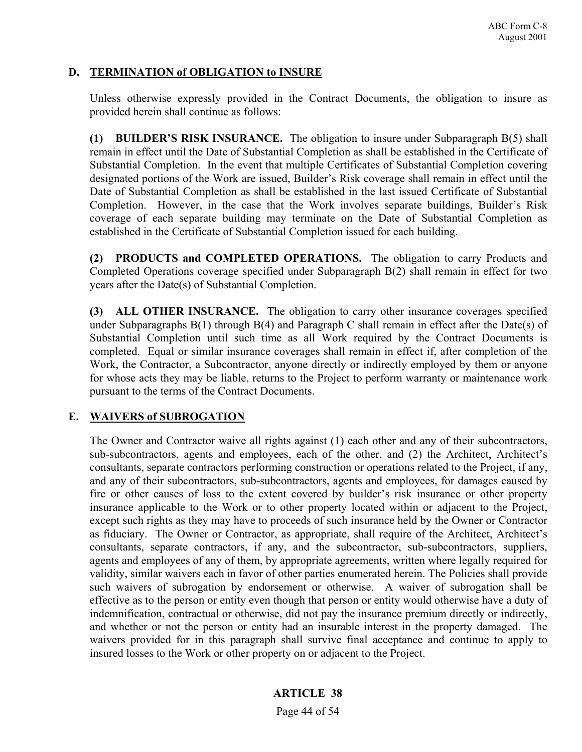# **D. TERMINATION of OBLIGATION to INSURE**

Unless otherwise expressly provided in the Contract Documents, the obligation to insure as provided herein shall continue as follows:

**(1) BUILDER'S RISK INSURANCE.** The obligation to insure under Subparagraph B(5) shall remain in effect until the Date of Substantial Completion as shall be established in the Certificate of Substantial Completion. In the event that multiple Certificates of Substantial Completion covering designated portions of the Work are issued, Builder's Risk coverage shall remain in effect until the Date of Substantial Completion as shall be established in the last issued Certificate of Substantial Completion. However, in the case that the Work involves separate buildings, Builder's Risk coverage of each separate building may terminate on the Date of Substantial Completion as established in the Certificate of Substantial Completion issued for each building.

**(2) PRODUCTS and COMPLETED OPERATIONS.** The obligation to carry Products and Completed Operations coverage specified under Subparagraph B(2) shall remain in effect for two years after the Date(s) of Substantial Completion.

**(3) ALL OTHER INSURANCE.** The obligation to carry other insurance coverages specified under Subparagraphs B(1) through B(4) and Paragraph C shall remain in effect after the Date(s) of Substantial Completion until such time as all Work required by the Contract Documents is completed. Equal or similar insurance coverages shall remain in effect if, after completion of the Work, the Contractor, a Subcontractor, anyone directly or indirectly employed by them or anyone for whose acts they may be liable, returns to the Project to perform warranty or maintenance work pursuant to the terms of the Contract Documents.

# **E. WAIVERS of SUBROGATION**

The Owner and Contractor waive all rights against (1) each other and any of their subcontractors, sub-subcontractors, agents and employees, each of the other, and (2) the Architect, Architect's consultants, separate contractors performing construction or operations related to the Project, if any, and any of their subcontractors, sub-subcontractors, agents and employees, for damages caused by fire or other causes of loss to the extent covered by builder's risk insurance or other property insurance applicable to the Work or to other property located within or adjacent to the Project, except such rights as they may have to proceeds of such insurance held by the Owner or Contractor as fiduciary. The Owner or Contractor, as appropriate, shall require of the Architect, Architect's consultants, separate contractors, if any, and the subcontractor, sub-subcontractors, suppliers, agents and employees of any of them, by appropriate agreements, written where legally required for validity, similar waivers each in favor of other parties enumerated herein. The Policies shall provide such waivers of subrogation by endorsement or otherwise. A waiver of subrogation shall be effective as to the person or entity even though that person or entity would otherwise have a duty of indemnification, contractual or otherwise, did not pay the insurance premium directly or indirectly, and whether or not the person or entity had an insurable interest in the property damaged. The waivers provided for in this paragraph shall survive final acceptance and continue to apply to insured losses to the Work or other property on or adjacent to the Project.

# **ARTICLE 38**

Page 44 of 54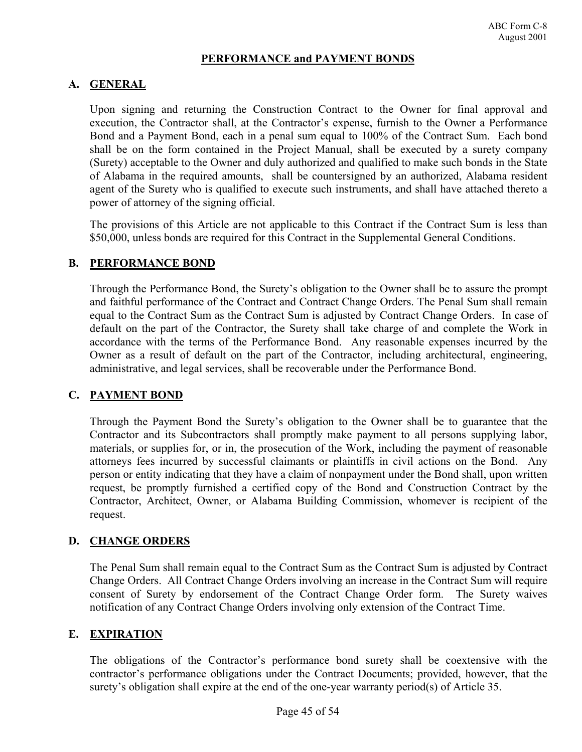### **PERFORMANCE and PAYMENT BONDS**

# **A. GENERAL**

Upon signing and returning the Construction Contract to the Owner for final approval and execution, the Contractor shall, at the Contractor's expense, furnish to the Owner a Performance Bond and a Payment Bond, each in a penal sum equal to 100% of the Contract Sum. Each bond shall be on the form contained in the Project Manual, shall be executed by a surety company (Surety) acceptable to the Owner and duly authorized and qualified to make such bonds in the State of Alabama in the required amounts, shall be countersigned by an authorized, Alabama resident agent of the Surety who is qualified to execute such instruments, and shall have attached thereto a power of attorney of the signing official.

The provisions of this Article are not applicable to this Contract if the Contract Sum is less than \$50,000, unless bonds are required for this Contract in the Supplemental General Conditions.

#### **B. PERFORMANCE BOND**

Through the Performance Bond, the Surety's obligation to the Owner shall be to assure the prompt and faithful performance of the Contract and Contract Change Orders. The Penal Sum shall remain equal to the Contract Sum as the Contract Sum is adjusted by Contract Change Orders. In case of default on the part of the Contractor, the Surety shall take charge of and complete the Work in accordance with the terms of the Performance Bond. Any reasonable expenses incurred by the Owner as a result of default on the part of the Contractor, including architectural, engineering, administrative, and legal services, shall be recoverable under the Performance Bond.

# **C. PAYMENT BOND**

Through the Payment Bond the Surety's obligation to the Owner shall be to guarantee that the Contractor and its Subcontractors shall promptly make payment to all persons supplying labor, materials, or supplies for, or in, the prosecution of the Work, including the payment of reasonable attorneys fees incurred by successful claimants or plaintiffs in civil actions on the Bond. Any person or entity indicating that they have a claim of nonpayment under the Bond shall, upon written request, be promptly furnished a certified copy of the Bond and Construction Contract by the Contractor, Architect, Owner, or Alabama Building Commission, whomever is recipient of the request.

# **D. CHANGE ORDERS**

The Penal Sum shall remain equal to the Contract Sum as the Contract Sum is adjusted by Contract Change Orders. All Contract Change Orders involving an increase in the Contract Sum will require consent of Surety by endorsement of the Contract Change Order form. The Surety waives notification of any Contract Change Orders involving only extension of the Contract Time.

# **E. EXPIRATION**

The obligations of the Contractor's performance bond surety shall be coextensive with the contractor's performance obligations under the Contract Documents; provided, however, that the surety's obligation shall expire at the end of the one-year warranty period(s) of Article 35.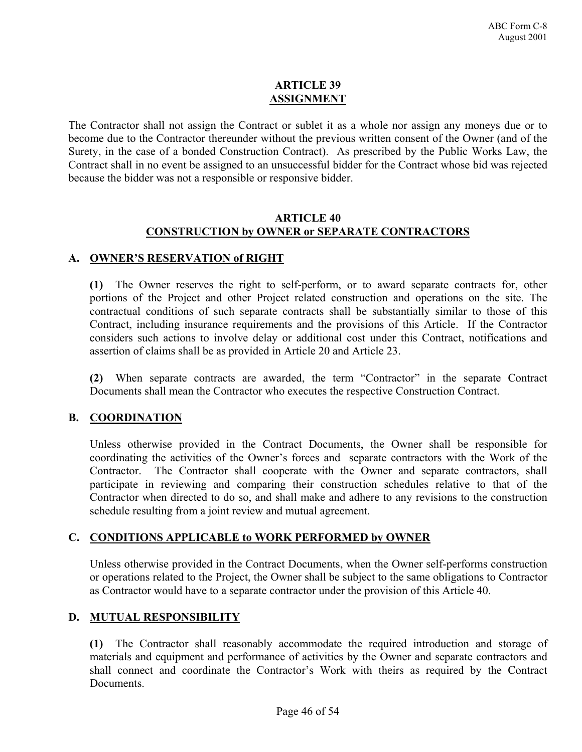# **ARTICLE 39 ASSIGNMENT**

The Contractor shall not assign the Contract or sublet it as a whole nor assign any moneys due or to become due to the Contractor thereunder without the previous written consent of the Owner (and of the Surety, in the case of a bonded Construction Contract). As prescribed by the Public Works Law, the Contract shall in no event be assigned to an unsuccessful bidder for the Contract whose bid was rejected because the bidder was not a responsible or responsive bidder.

#### **ARTICLE 40 CONSTRUCTION by OWNER or SEPARATE CONTRACTORS**

# **A. OWNER'S RESERVATION of RIGHT**

**(1)** The Owner reserves the right to self-perform, or to award separate contracts for, other portions of the Project and other Project related construction and operations on the site. The contractual conditions of such separate contracts shall be substantially similar to those of this Contract, including insurance requirements and the provisions of this Article. If the Contractor considers such actions to involve delay or additional cost under this Contract, notifications and assertion of claims shall be as provided in Article 20 and Article 23.

**(2)** When separate contracts are awarded, the term "Contractor" in the separate Contract Documents shall mean the Contractor who executes the respective Construction Contract.

# **B. COORDINATION**

Unless otherwise provided in the Contract Documents, the Owner shall be responsible for coordinating the activities of the Owner's forces and separate contractors with the Work of the Contractor. The Contractor shall cooperate with the Owner and separate contractors, shall participate in reviewing and comparing their construction schedules relative to that of the Contractor when directed to do so, and shall make and adhere to any revisions to the construction schedule resulting from a joint review and mutual agreement.

# **C. CONDITIONS APPLICABLE to WORK PERFORMED by OWNER**

Unless otherwise provided in the Contract Documents, when the Owner self-performs construction or operations related to the Project, the Owner shall be subject to the same obligations to Contractor as Contractor would have to a separate contractor under the provision of this Article 40.

# **D. MUTUAL RESPONSIBILITY**

**(1)** The Contractor shall reasonably accommodate the required introduction and storage of materials and equipment and performance of activities by the Owner and separate contractors and shall connect and coordinate the Contractor's Work with theirs as required by the Contract **Documents**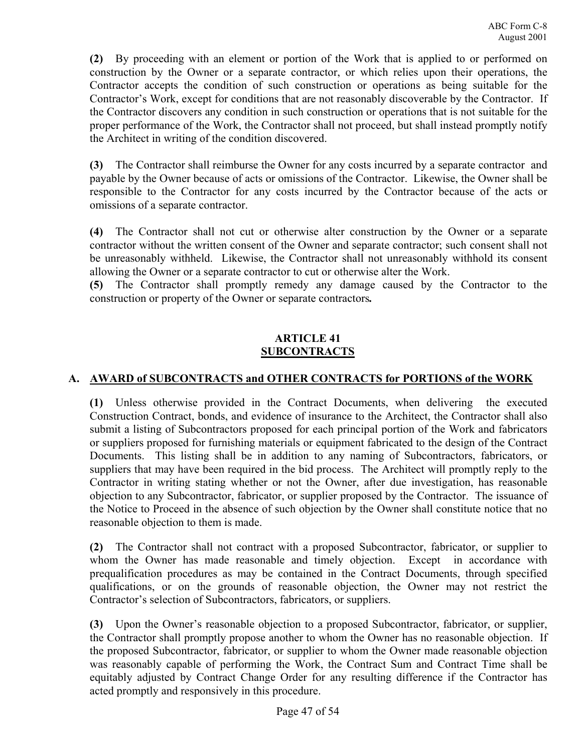**(2)** By proceeding with an element or portion of the Work that is applied to or performed on construction by the Owner or a separate contractor, or which relies upon their operations, the Contractor accepts the condition of such construction or operations as being suitable for the Contractor's Work, except for conditions that are not reasonably discoverable by the Contractor. If the Contractor discovers any condition in such construction or operations that is not suitable for the proper performance of the Work, the Contractor shall not proceed, but shall instead promptly notify the Architect in writing of the condition discovered.

**(3)** The Contractor shall reimburse the Owner for any costs incurred by a separate contractor and payable by the Owner because of acts or omissions of the Contractor. Likewise, the Owner shall be responsible to the Contractor for any costs incurred by the Contractor because of the acts or omissions of a separate contractor.

**(4)** The Contractor shall not cut or otherwise alter construction by the Owner or a separate contractor without the written consent of the Owner and separate contractor; such consent shall not be unreasonably withheld. Likewise, the Contractor shall not unreasonably withhold its consent allowing the Owner or a separate contractor to cut or otherwise alter the Work.

**(5)** The Contractor shall promptly remedy any damage caused by the Contractor to the construction or property of the Owner or separate contractors*.*

# **ARTICLE 41 SUBCONTRACTS**

# **A. AWARD of SUBCONTRACTS and OTHER CONTRACTS for PORTIONS of the WORK**

**(1)** Unless otherwise provided in the Contract Documents, when delivering the executed Construction Contract, bonds, and evidence of insurance to the Architect, the Contractor shall also submit a listing of Subcontractors proposed for each principal portion of the Work and fabricators or suppliers proposed for furnishing materials or equipment fabricated to the design of the Contract Documents. This listing shall be in addition to any naming of Subcontractors, fabricators, or suppliers that may have been required in the bid process. The Architect will promptly reply to the Contractor in writing stating whether or not the Owner, after due investigation, has reasonable objection to any Subcontractor, fabricator, or supplier proposed by the Contractor. The issuance of the Notice to Proceed in the absence of such objection by the Owner shall constitute notice that no reasonable objection to them is made.

**(2)** The Contractor shall not contract with a proposed Subcontractor, fabricator, or supplier to whom the Owner has made reasonable and timely objection. Except in accordance with prequalification procedures as may be contained in the Contract Documents, through specified qualifications, or on the grounds of reasonable objection, the Owner may not restrict the Contractor's selection of Subcontractors, fabricators, or suppliers.

**(3)** Upon the Owner's reasonable objection to a proposed Subcontractor, fabricator, or supplier, the Contractor shall promptly propose another to whom the Owner has no reasonable objection. If the proposed Subcontractor, fabricator, or supplier to whom the Owner made reasonable objection was reasonably capable of performing the Work, the Contract Sum and Contract Time shall be equitably adjusted by Contract Change Order for any resulting difference if the Contractor has acted promptly and responsively in this procedure.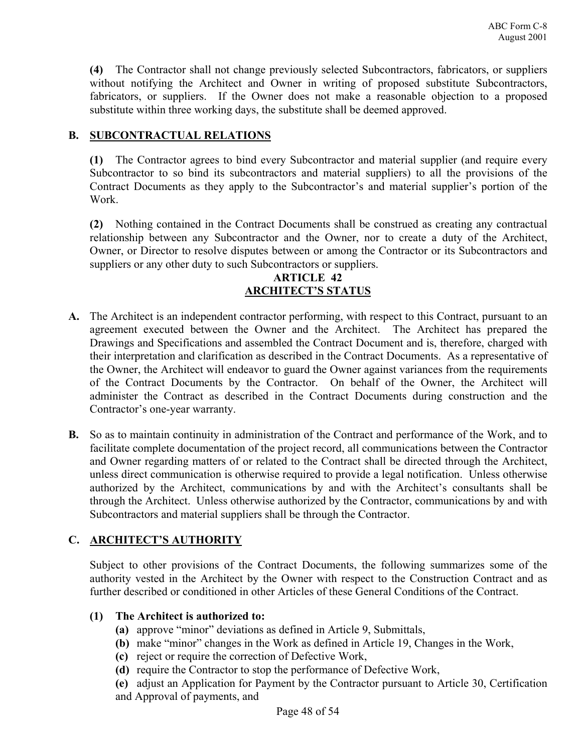**(4)** The Contractor shall not change previously selected Subcontractors, fabricators, or suppliers without notifying the Architect and Owner in writing of proposed substitute Subcontractors, fabricators, or suppliers. If the Owner does not make a reasonable objection to a proposed substitute within three working days, the substitute shall be deemed approved.

# **B. SUBCONTRACTUAL RELATIONS**

**(1)** The Contractor agrees to bind every Subcontractor and material supplier (and require every Subcontractor to so bind its subcontractors and material suppliers) to all the provisions of the Contract Documents as they apply to the Subcontractor's and material supplier's portion of the Work.

**(2)** Nothing contained in the Contract Documents shall be construed as creating any contractual relationship between any Subcontractor and the Owner, nor to create a duty of the Architect, Owner, or Director to resolve disputes between or among the Contractor or its Subcontractors and suppliers or any other duty to such Subcontractors or suppliers.

### **ARTICLE 42 ARCHITECT'S STATUS**

- **A.** The Architect is an independent contractor performing, with respect to this Contract, pursuant to an agreement executed between the Owner and the Architect. The Architect has prepared the Drawings and Specifications and assembled the Contract Document and is, therefore, charged with their interpretation and clarification as described in the Contract Documents. As a representative of the Owner, the Architect will endeavor to guard the Owner against variances from the requirements of the Contract Documents by the Contractor. On behalf of the Owner, the Architect will administer the Contract as described in the Contract Documents during construction and the Contractor's one-year warranty.
- **B.** So as to maintain continuity in administration of the Contract and performance of the Work, and to facilitate complete documentation of the project record, all communications between the Contractor and Owner regarding matters of or related to the Contract shall be directed through the Architect, unless direct communication is otherwise required to provide a legal notification. Unless otherwise authorized by the Architect, communications by and with the Architect's consultants shall be through the Architect. Unless otherwise authorized by the Contractor, communications by and with Subcontractors and material suppliers shall be through the Contractor.

# **C. ARCHITECT'S AUTHORITY**

Subject to other provisions of the Contract Documents, the following summarizes some of the authority vested in the Architect by the Owner with respect to the Construction Contract and as further described or conditioned in other Articles of these General Conditions of the Contract.

# **(1) The Architect is authorized to:**

- **(a)** approve "minor" deviations as defined in Article 9, Submittals,
- **(b)** make "minor" changes in the Work as defined in Article 19, Changes in the Work,
- **(c)** reject or require the correction of Defective Work,
- **(d)** require the Contractor to stop the performance of Defective Work,
- **(e)** adjust an Application for Payment by the Contractor pursuant to Article 30, Certification and Approval of payments, and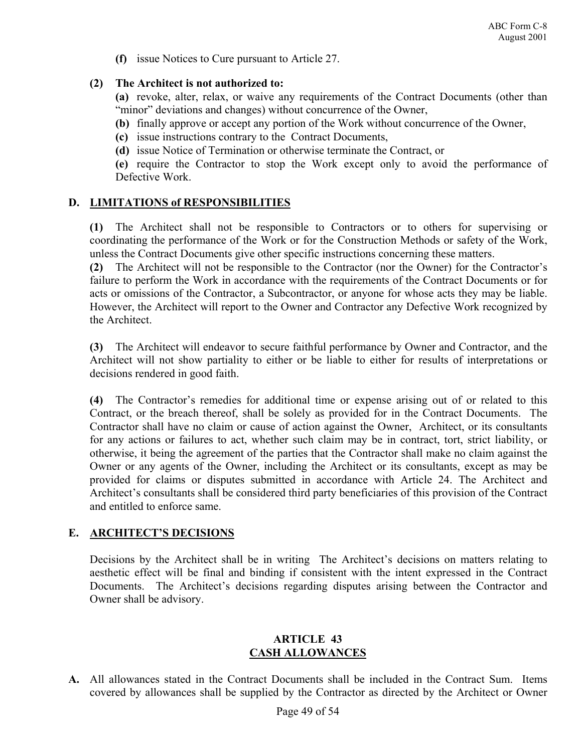**(f)** issue Notices to Cure pursuant to Article 27.

### **(2) The Architect is not authorized to:**

**(a)** revoke, alter, relax, or waive any requirements of the Contract Documents (other than "minor" deviations and changes) without concurrence of the Owner,

- **(b)** finally approve or accept any portion of the Work without concurrence of the Owner,
- **(c)** issue instructions contrary to the Contract Documents,
- **(d)** issue Notice of Termination or otherwise terminate the Contract, or

**(e)** require the Contractor to stop the Work except only to avoid the performance of Defective Work.

# **D. LIMITATIONS of RESPONSIBILITIES**

**(1)** The Architect shall not be responsible to Contractors or to others for supervising or coordinating the performance of the Work or for the Construction Methods or safety of the Work, unless the Contract Documents give other specific instructions concerning these matters.

**(2)** The Architect will not be responsible to the Contractor (nor the Owner) for the Contractor's failure to perform the Work in accordance with the requirements of the Contract Documents or for acts or omissions of the Contractor, a Subcontractor, or anyone for whose acts they may be liable. However, the Architect will report to the Owner and Contractor any Defective Work recognized by the Architect.

**(3)** The Architect will endeavor to secure faithful performance by Owner and Contractor, and the Architect will not show partiality to either or be liable to either for results of interpretations or decisions rendered in good faith.

**(4)** The Contractor's remedies for additional time or expense arising out of or related to this Contract, or the breach thereof, shall be solely as provided for in the Contract Documents. The Contractor shall have no claim or cause of action against the Owner, Architect, or its consultants for any actions or failures to act, whether such claim may be in contract, tort, strict liability, or otherwise, it being the agreement of the parties that the Contractor shall make no claim against the Owner or any agents of the Owner, including the Architect or its consultants, except as may be provided for claims or disputes submitted in accordance with Article 24. The Architect and Architect's consultants shall be considered third party beneficiaries of this provision of the Contract and entitled to enforce same.

# **E. ARCHITECT'S DECISIONS**

Decisions by the Architect shall be in writing The Architect's decisions on matters relating to aesthetic effect will be final and binding if consistent with the intent expressed in the Contract Documents. The Architect's decisions regarding disputes arising between the Contractor and Owner shall be advisory.

# **ARTICLE 43 CASH ALLOWANCES**

**A.** All allowances stated in the Contract Documents shall be included in the Contract Sum. Items covered by allowances shall be supplied by the Contractor as directed by the Architect or Owner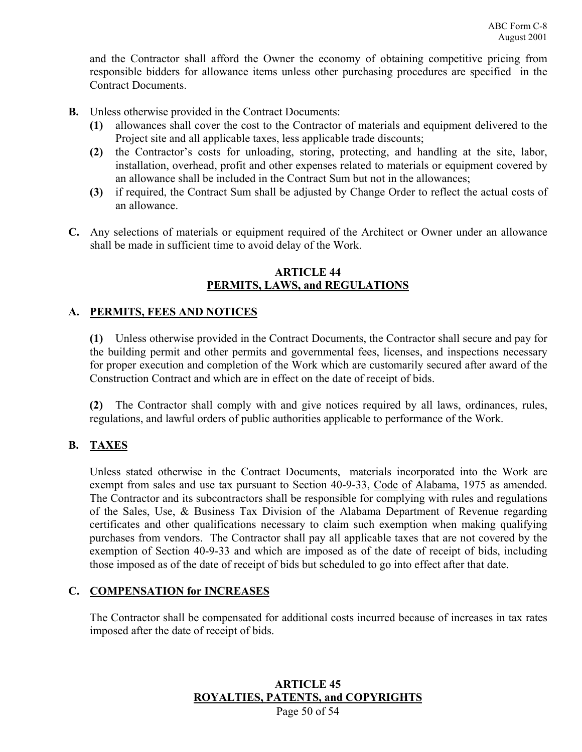and the Contractor shall afford the Owner the economy of obtaining competitive pricing from responsible bidders for allowance items unless other purchasing procedures are specified in the Contract Documents.

- **B.** Unless otherwise provided in the Contract Documents:
	- **(1)** allowances shall cover the cost to the Contractor of materials and equipment delivered to the Project site and all applicable taxes, less applicable trade discounts;
	- **(2)** the Contractor's costs for unloading, storing, protecting, and handling at the site, labor, installation, overhead, profit and other expenses related to materials or equipment covered by an allowance shall be included in the Contract Sum but not in the allowances;
	- **(3)** if required, the Contract Sum shall be adjusted by Change Order to reflect the actual costs of an allowance.
- **C.** Any selections of materials or equipment required of the Architect or Owner under an allowance shall be made in sufficient time to avoid delay of the Work.

#### **ARTICLE 44 PERMITS, LAWS, and REGULATIONS**

# **A. PERMITS, FEES AND NOTICES**

**(1)** Unless otherwise provided in the Contract Documents, the Contractor shall secure and pay for the building permit and other permits and governmental fees, licenses, and inspections necessary for proper execution and completion of the Work which are customarily secured after award of the Construction Contract and which are in effect on the date of receipt of bids.

**(2)** The Contractor shall comply with and give notices required by all laws, ordinances, rules, regulations, and lawful orders of public authorities applicable to performance of the Work.

# **B. TAXES**

Unless stated otherwise in the Contract Documents, materials incorporated into the Work are exempt from sales and use tax pursuant to Section 40-9-33, Code of Alabama, 1975 as amended. The Contractor and its subcontractors shall be responsible for complying with rules and regulations of the Sales, Use, & Business Tax Division of the Alabama Department of Revenue regarding certificates and other qualifications necessary to claim such exemption when making qualifying purchases from vendors. The Contractor shall pay all applicable taxes that are not covered by the exemption of Section 40-9-33 and which are imposed as of the date of receipt of bids, including those imposed as of the date of receipt of bids but scheduled to go into effect after that date.

# **C. COMPENSATION for INCREASES**

The Contractor shall be compensated for additional costs incurred because of increases in tax rates imposed after the date of receipt of bids.

# **ARTICLE 45 ROYALTIES, PATENTS, and COPYRIGHTS**

Page 50 of 54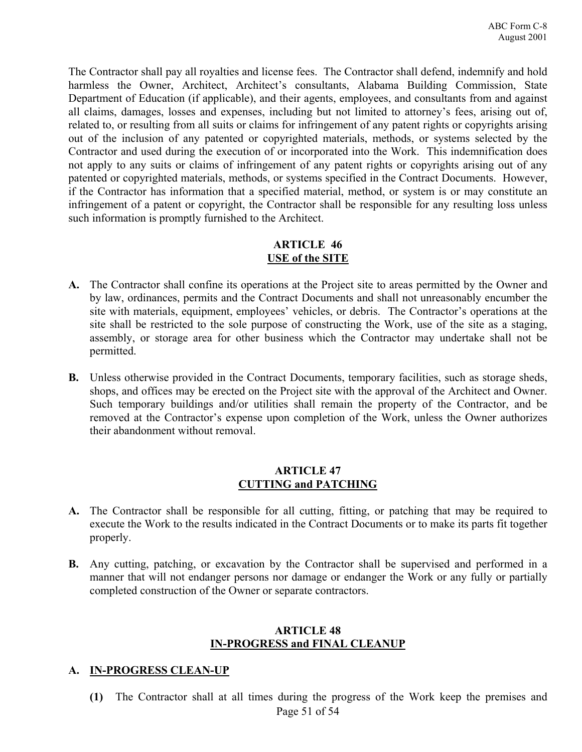The Contractor shall pay all royalties and license fees. The Contractor shall defend, indemnify and hold harmless the Owner, Architect, Architect's consultants, Alabama Building Commission, State Department of Education (if applicable), and their agents, employees, and consultants from and against all claims, damages, losses and expenses, including but not limited to attorney's fees, arising out of, related to, or resulting from all suits or claims for infringement of any patent rights or copyrights arising out of the inclusion of any patented or copyrighted materials, methods, or systems selected by the Contractor and used during the execution of or incorporated into the Work. This indemnification does not apply to any suits or claims of infringement of any patent rights or copyrights arising out of any patented or copyrighted materials, methods, or systems specified in the Contract Documents. However, if the Contractor has information that a specified material, method, or system is or may constitute an infringement of a patent or copyright, the Contractor shall be responsible for any resulting loss unless such information is promptly furnished to the Architect.

### **ARTICLE 46 USE of the SITE**

- **A.** The Contractor shall confine its operations at the Project site to areas permitted by the Owner and by law, ordinances, permits and the Contract Documents and shall not unreasonably encumber the site with materials, equipment, employees' vehicles, or debris. The Contractor's operations at the site shall be restricted to the sole purpose of constructing the Work, use of the site as a staging, assembly, or storage area for other business which the Contractor may undertake shall not be permitted.
- **B.** Unless otherwise provided in the Contract Documents, temporary facilities, such as storage sheds, shops, and offices may be erected on the Project site with the approval of the Architect and Owner. Such temporary buildings and/or utilities shall remain the property of the Contractor, and be removed at the Contractor's expense upon completion of the Work, unless the Owner authorizes their abandonment without removal.

#### **ARTICLE 47 CUTTING and PATCHING**

- **A.** The Contractor shall be responsible for all cutting, fitting, or patching that may be required to execute the Work to the results indicated in the Contract Documents or to make its parts fit together properly.
- **B.** Any cutting, patching, or excavation by the Contractor shall be supervised and performed in a manner that will not endanger persons nor damage or endanger the Work or any fully or partially completed construction of the Owner or separate contractors.

#### **ARTICLE 48 IN-PROGRESS and FINAL CLEANUP**

#### **A. IN-PROGRESS CLEAN-UP**

Page 51 of 54 **(1)** The Contractor shall at all times during the progress of the Work keep the premises and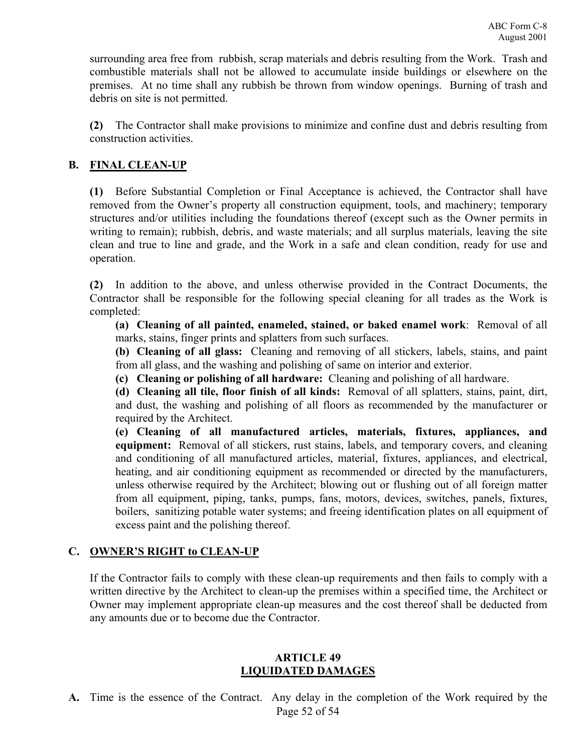surrounding area free from rubbish, scrap materials and debris resulting from the Work. Trash and combustible materials shall not be allowed to accumulate inside buildings or elsewhere on the premises. At no time shall any rubbish be thrown from window openings. Burning of trash and debris on site is not permitted.

**(2)** The Contractor shall make provisions to minimize and confine dust and debris resulting from construction activities.

# **B. FINAL CLEAN-UP**

**(1)** Before Substantial Completion or Final Acceptance is achieved, the Contractor shall have removed from the Owner's property all construction equipment, tools, and machinery; temporary structures and/or utilities including the foundations thereof (except such as the Owner permits in writing to remain); rubbish, debris, and waste materials; and all surplus materials, leaving the site clean and true to line and grade, and the Work in a safe and clean condition, ready for use and operation.

**(2)** In addition to the above, and unless otherwise provided in the Contract Documents, the Contractor shall be responsible for the following special cleaning for all trades as the Work is completed:

**(a) Cleaning of all painted, enameled, stained, or baked enamel work**: Removal of all marks, stains, finger prints and splatters from such surfaces.

**(b) Cleaning of all glass:** Cleaning and removing of all stickers, labels, stains, and paint from all glass, and the washing and polishing of same on interior and exterior.

**(c) Cleaning or polishing of all hardware:** Cleaning and polishing of all hardware.

**(d) Cleaning all tile, floor finish of all kinds:** Removal of all splatters, stains, paint, dirt, and dust, the washing and polishing of all floors as recommended by the manufacturer or required by the Architect.

**(e) Cleaning of all manufactured articles, materials, fixtures, appliances, and equipment:** Removal of all stickers, rust stains, labels, and temporary covers, and cleaning and conditioning of all manufactured articles, material, fixtures, appliances, and electrical, heating, and air conditioning equipment as recommended or directed by the manufacturers, unless otherwise required by the Architect; blowing out or flushing out of all foreign matter from all equipment, piping, tanks, pumps, fans, motors, devices, switches, panels, fixtures, boilers, sanitizing potable water systems; and freeing identification plates on all equipment of excess paint and the polishing thereof.

# **C. OWNER'S RIGHT to CLEAN-UP**

If the Contractor fails to comply with these clean-up requirements and then fails to comply with a written directive by the Architect to clean-up the premises within a specified time, the Architect or Owner may implement appropriate clean-up measures and the cost thereof shall be deducted from any amounts due or to become due the Contractor.

#### **ARTICLE 49 LIQUIDATED DAMAGES**

Page 52 of 54 **A.** Time is the essence of the Contract. Any delay in the completion of the Work required by the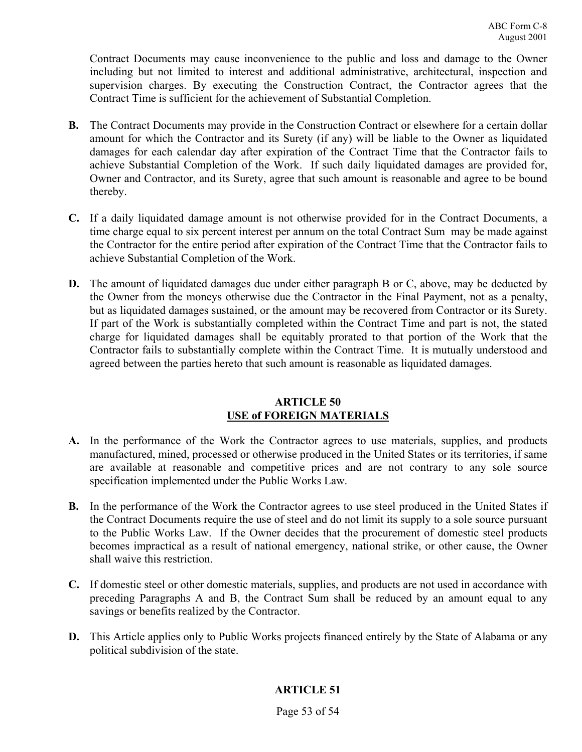Contract Documents may cause inconvenience to the public and loss and damage to the Owner including but not limited to interest and additional administrative, architectural, inspection and supervision charges. By executing the Construction Contract, the Contractor agrees that the Contract Time is sufficient for the achievement of Substantial Completion.

- **B.** The Contract Documents may provide in the Construction Contract or elsewhere for a certain dollar amount for which the Contractor and its Surety (if any) will be liable to the Owner as liquidated damages for each calendar day after expiration of the Contract Time that the Contractor fails to achieve Substantial Completion of the Work. If such daily liquidated damages are provided for, Owner and Contractor, and its Surety, agree that such amount is reasonable and agree to be bound thereby.
- **C.** If a daily liquidated damage amount is not otherwise provided for in the Contract Documents, a time charge equal to six percent interest per annum on the total Contract Sum may be made against the Contractor for the entire period after expiration of the Contract Time that the Contractor fails to achieve Substantial Completion of the Work.
- **D.** The amount of liquidated damages due under either paragraph B or C, above, may be deducted by the Owner from the moneys otherwise due the Contractor in the Final Payment, not as a penalty, but as liquidated damages sustained, or the amount may be recovered from Contractor or its Surety. If part of the Work is substantially completed within the Contract Time and part is not, the stated charge for liquidated damages shall be equitably prorated to that portion of the Work that the Contractor fails to substantially complete within the Contract Time. It is mutually understood and agreed between the parties hereto that such amount is reasonable as liquidated damages.

#### **ARTICLE 50 USE of FOREIGN MATERIALS**

- **A.** In the performance of the Work the Contractor agrees to use materials, supplies, and products manufactured, mined, processed or otherwise produced in the United States or its territories, if same are available at reasonable and competitive prices and are not contrary to any sole source specification implemented under the Public Works Law.
- **B.** In the performance of the Work the Contractor agrees to use steel produced in the United States if the Contract Documents require the use of steel and do not limit its supply to a sole source pursuant to the Public Works Law. If the Owner decides that the procurement of domestic steel products becomes impractical as a result of national emergency, national strike, or other cause, the Owner shall waive this restriction.
- **C.** If domestic steel or other domestic materials, supplies, and products are not used in accordance with preceding Paragraphs A and B, the Contract Sum shall be reduced by an amount equal to any savings or benefits realized by the Contractor.
- **D.** This Article applies only to Public Works projects financed entirely by the State of Alabama or any political subdivision of the state.

# **ARTICLE 51**

Page 53 of 54